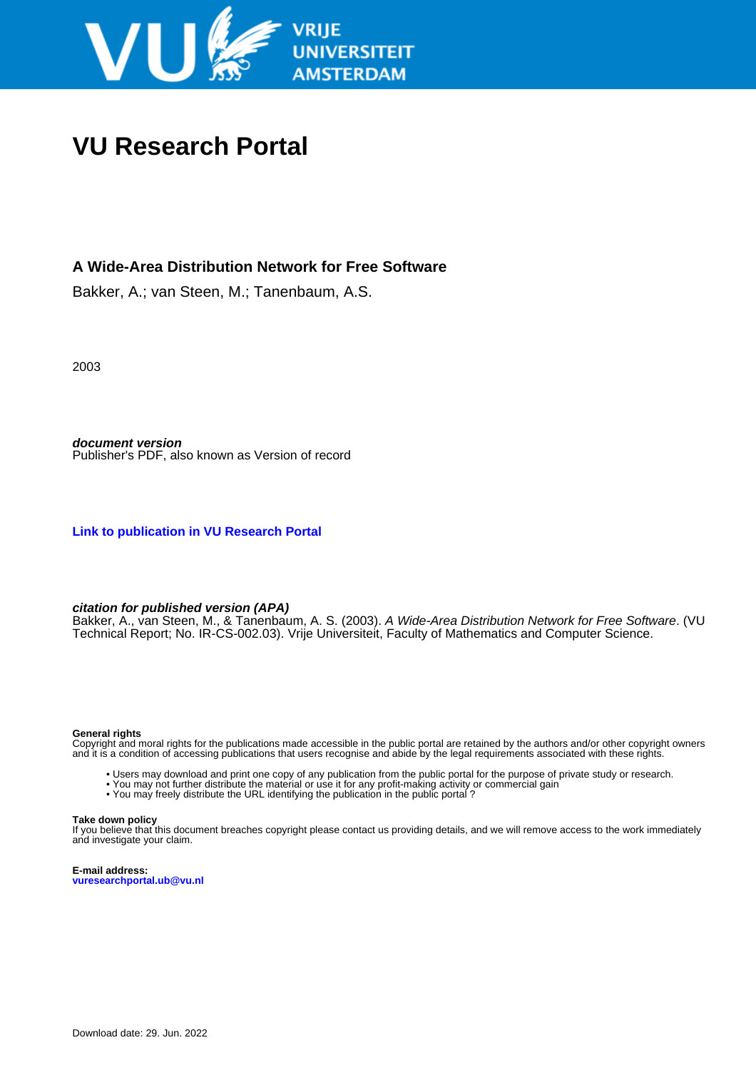

# **VU Research Portal**

### **A Wide-Area Distribution Network for Free Software**

Bakker, A.; van Steen, M.; Tanenbaum, A.S.

2003

**document version** Publisher's PDF, also known as Version of record

**[Link to publication in VU Research Portal](https://research.vu.nl/en/publications/83225bab-f5fb-4d5c-a9f4-03ef80ee0c1d)**

#### **citation for published version (APA)**

Bakker, A., van Steen, M., & Tanenbaum, A. S. (2003). A Wide-Area Distribution Network for Free Software. (VU Technical Report; No. IR-CS-002.03). Vrije Universiteit, Faculty of Mathematics and Computer Science.

#### **General rights**

Copyright and moral rights for the publications made accessible in the public portal are retained by the authors and/or other copyright owners and it is a condition of accessing publications that users recognise and abide by the legal requirements associated with these rights.

- Users may download and print one copy of any publication from the public portal for the purpose of private study or research.
- You may not further distribute the material or use it for any profit-making activity or commercial gain
- You may freely distribute the URL identifying the publication in the public portal?

#### **Take down policy**

If you believe that this document breaches copyright please contact us providing details, and we will remove access to the work immediately and investigate your claim.

**E-mail address: vuresearchportal.ub@vu.nl**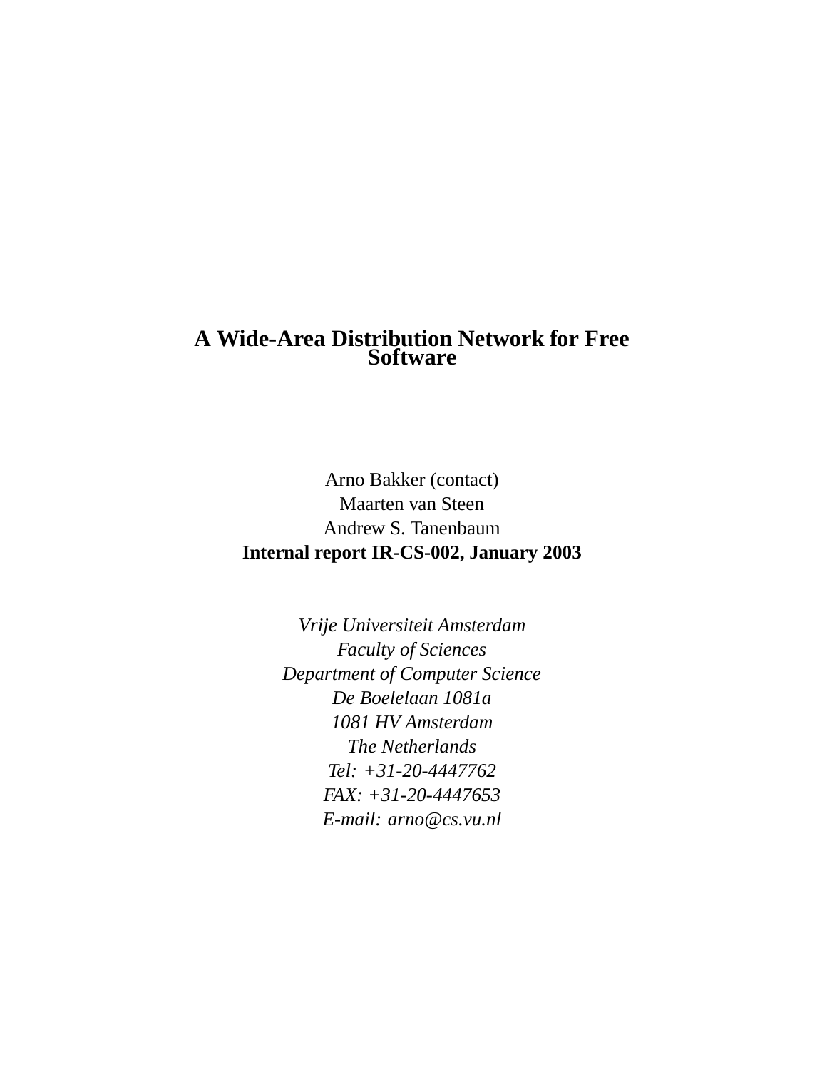## **A Wide-Area Distribution Network for Free Software**

Arno Bakker (contact) Maarten van Steen Andrew S. Tanenbaum **Internal report IR-CS-002, January 2003**

> *Vrije Universiteit Amsterdam Faculty of Sciences Department of Computer Science De Boelelaan 1081a 1081 HV Amsterdam The Netherlands Tel: +31-20-4447762 FAX: +31-20-4447653 E-mail: arno@cs.vu.nl*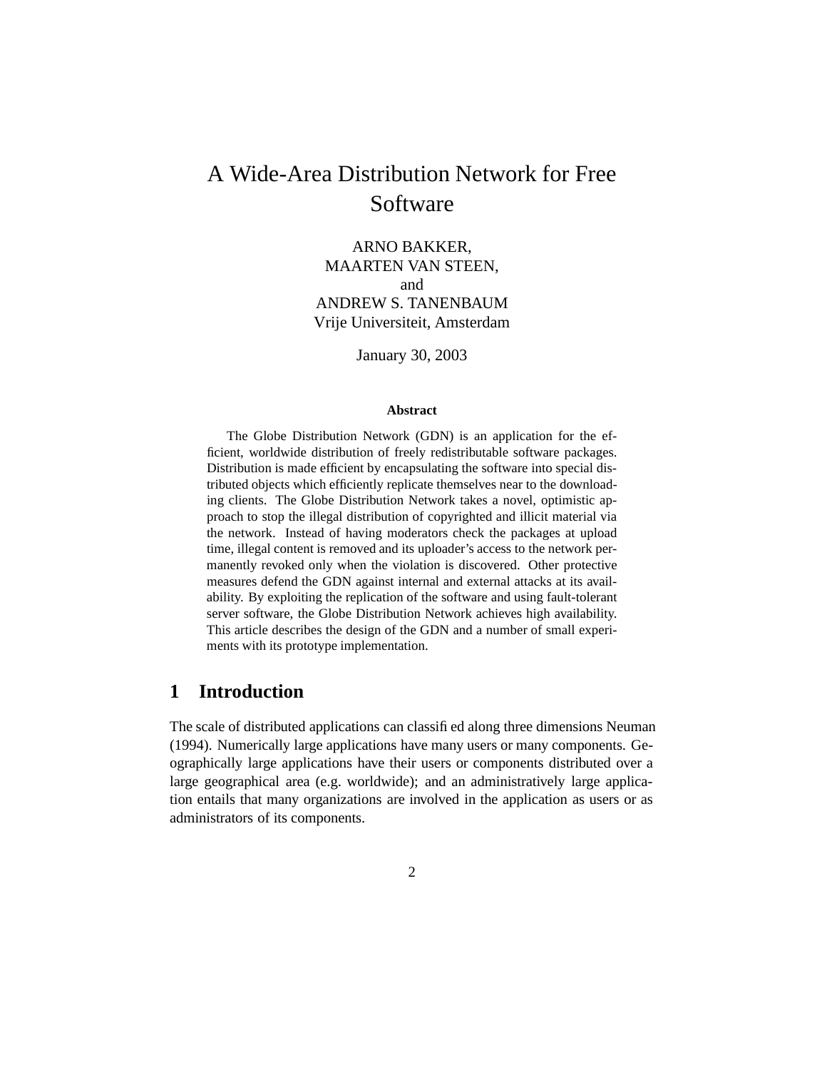# A Wide-Area Distribution Network for Free Software

ARNO BAKKER, MAARTEN VAN STEEN, and ANDREW S. TANENBAUM Vrije Universiteit, Amsterdam

January 30, 2003

#### **Abstract**

The Globe Distribution Network (GDN) is an application for the efficient, worldwide distribution of freely redistributable software packages. Distribution is made efficient by encapsulating the software into special distributed objects which efficiently replicate themselves near to the downloading clients. The Globe Distribution Network takes a novel, optimistic approach to stop the illegal distribution of copyrighted and illicit material via the network. Instead of having moderators check the packages at upload time, illegal content is removed and its uploader's access to the network permanently revoked only when the violation is discovered. Other protective measures defend the GDN against internal and external attacks at its availability. By exploiting the replication of the software and using fault-tolerant server software, the Globe Distribution Network achieves high availability. This article describes the design of the GDN and a number of small experiments with its prototype implementation.

### **1 Introduction**

The scale of distributed applications can classified along three dimensions Neuman (1994). Numerically large applications have many users or many components. Geographically large applications have their users or components distributed over a large geographical area (e.g. worldwide); and an administratively large application entails that many organizations are involved in the application as users or as administrators of its components.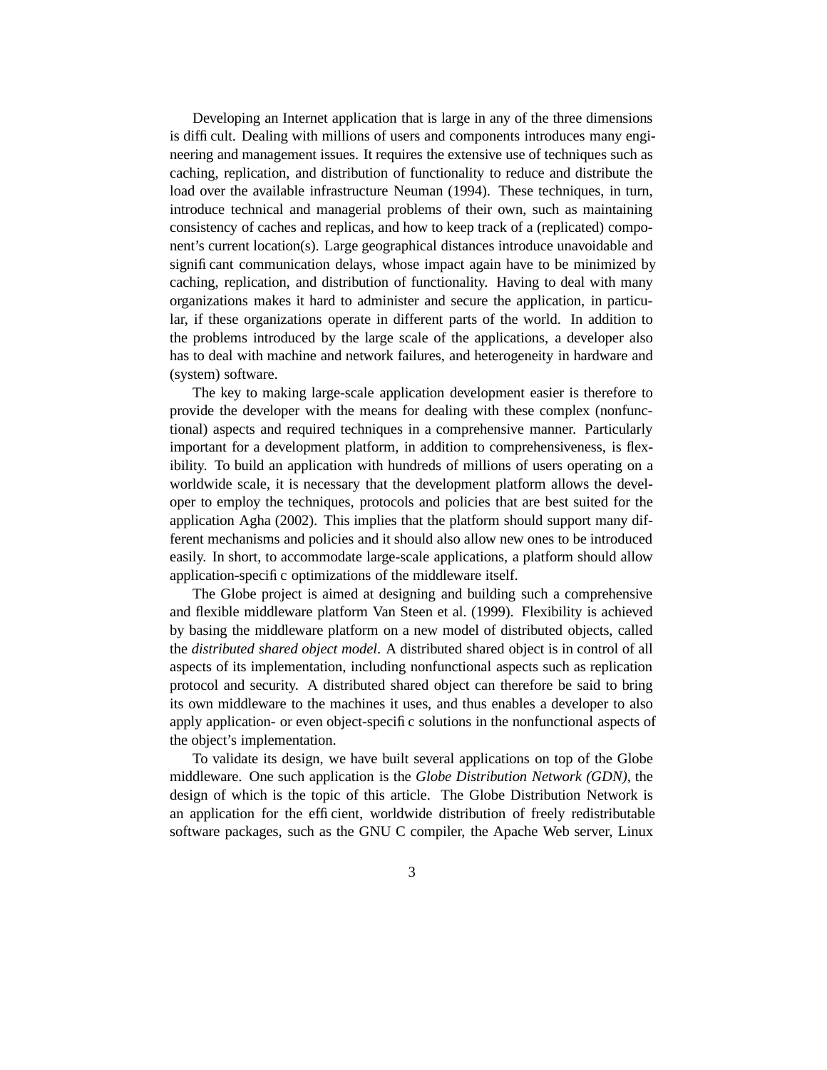Developing an Internet application that is large in any of the three dimensions is difficult. Dealing with millions of users and components introduces many engineering and management issues. It requires the extensive use of techniques such as caching, replication, and distribution of functionality to reduce and distribute the load over the available infrastructure Neuman (1994). These techniques, in turn, introduce technical and managerial problems of their own, such as maintaining consistency of caches and replicas, and how to keep track of a (replicated) component's current location(s). Large geographical distances introduce unavoidable and significant communication delays, whose impact again have to be minimized by caching, replication, and distribution of functionality. Having to deal with many organizations makes it hard to administer and secure the application, in particular, if these organizations operate in different parts of the world. In addition to the problems introduced by the large scale of the applications, a developer also has to deal with machine and network failures, and heterogeneity in hardware and (system) software.

The key to making large-scale application development easier is therefore to provide the developer with the means for dealing with these complex (nonfunctional) aspects and required techniques in a comprehensive manner. Particularly important for a development platform, in addition to comprehensiveness, is flexibility. To build an application with hundreds of millions of users operating on a worldwide scale, it is necessary that the development platform allows the developer to employ the techniques, protocols and policies that are best suited for the application Agha (2002). This implies that the platform should support many different mechanisms and policies and it should also allow new ones to be introduced easily. In short, to accommodate large-scale applications, a platform should allow application-specific optimizations of the middleware itself.

The Globe project is aimed at designing and building such a comprehensive and flexible middleware platform Van Steen et al. (1999). Flexibility is achieved by basing the middleware platform on a new model of distributed objects, called the *distributed shared object model*. A distributed shared object is in control of all aspects of its implementation, including nonfunctional aspects such as replication protocol and security. A distributed shared object can therefore be said to bring its own middleware to the machines it uses, and thus enables a developer to also apply application- or even object-specific solutions in the nonfunctional aspects of the object's implementation.

To validate its design, we have built several applications on top of the Globe middleware. One such application is the *Globe Distribution Network (GDN)*, the design of which is the topic of this article. The Globe Distribution Network is an application for the efficient, worldwide distribution of freely redistributable software packages, such as the GNU C compiler, the Apache Web server, Linux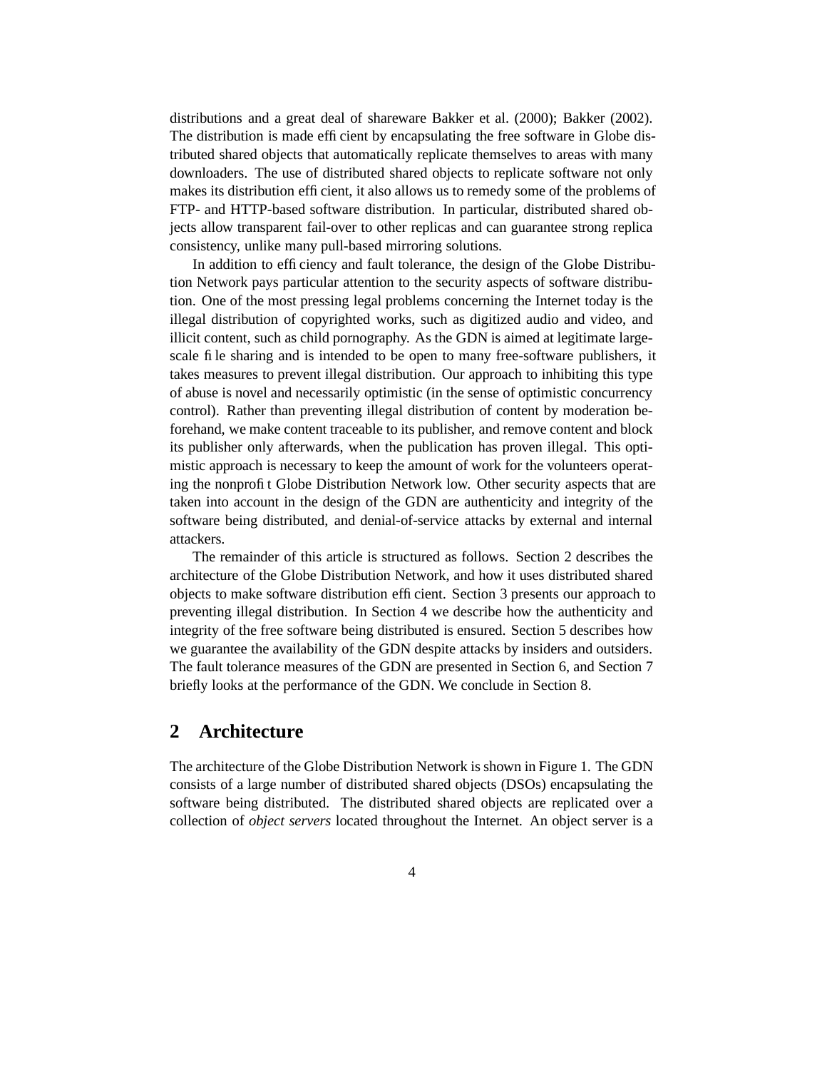distributions and a great deal of shareware Bakker et al. (2000); Bakker (2002). The distribution is made efficient by encapsulating the free software in Globe distributed shared objects that automatically replicate themselves to areas with many downloaders. The use of distributed shared objects to replicate software not only makes its distribution efficient, it also allows us to remedy some of the problems of FTP- and HTTP-based software distribution. In particular, distributed shared objects allow transparent fail-over to other replicas and can guarantee strong replica consistency, unlike many pull-based mirroring solutions.

In addition to efficiency and fault tolerance, the design of the Globe Distribution Network pays particular attention to the security aspects of software distribution. One of the most pressing legal problems concerning the Internet today is the illegal distribution of copyrighted works, such as digitized audio and video, and illicit content, such as child pornography. As the GDN is aimed at legitimate largescale file sharing and is intended to be open to many free-software publishers, it takes measures to prevent illegal distribution. Our approach to inhibiting this type of abuse is novel and necessarily optimistic (in the sense of optimistic concurrency control). Rather than preventing illegal distribution of content by moderation beforehand, we make content traceable to its publisher, and remove content and block its publisher only afterwards, when the publication has proven illegal. This optimistic approach is necessary to keep the amount of work for the volunteers operating the nonprofit Globe Distribution Network low. Other security aspects that are taken into account in the design of the GDN are authenticity and integrity of the software being distributed, and denial-of-service attacks by external and internal attackers.

The remainder of this article is structured as follows. Section 2 describes the architecture of the Globe Distribution Network, and how it uses distributed shared objects to make software distribution efficient. Section 3 presents our approach to preventing illegal distribution. In Section 4 we describe how the authenticity and integrity of the free software being distributed is ensured. Section 5 describes how we guarantee the availability of the GDN despite attacks by insiders and outsiders. The fault tolerance measures of the GDN are presented in Section 6, and Section 7 briefly looks at the performance of the GDN. We conclude in Section 8.

### **2 Architecture**

The architecture of the Globe Distribution Network is shown in Figure 1. The GDN consists of a large number of distributed shared objects (DSOs) encapsulating the software being distributed. The distributed shared objects are replicated over a collection of *object servers* located throughout the Internet. An object server is a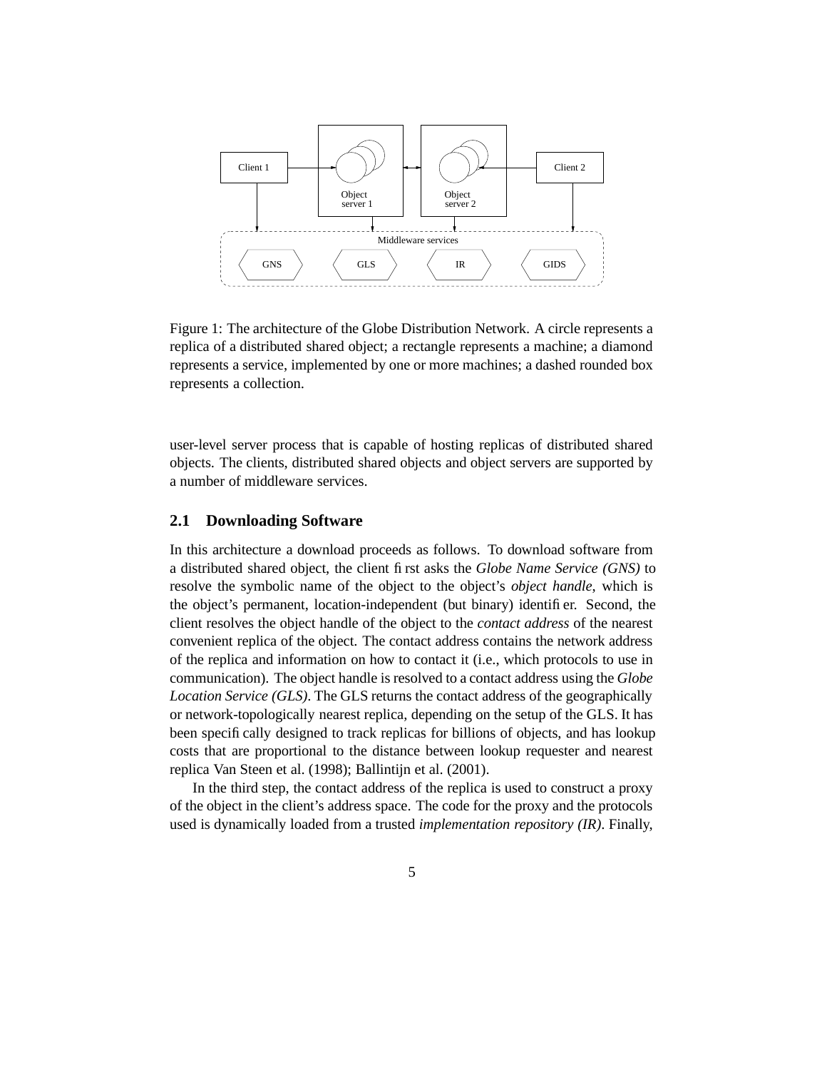

Figure 1: The architecture of the Globe Distribution Network. A circle represents a replica of a distributed shared object; a rectangle represents a machine; a diamond represents a service, implemented by one or more machines; a dashed rounded box represents a collection.

user-level server process that is capable of hosting replicas of distributed shared objects. The clients, distributed shared objects and object servers are supported by a number of middleware services.

#### **2.1 Downloading Software**

In this architecture a download proceeds as follows. To download software from a distributed shared object, the client first asks the *Globe Name Service (GNS)* to resolve the symbolic name of the object to the object's *object handle*, which is the object's permanent, location-independent (but binary) identifier. Second, the client resolves the object handle of the object to the *contact address* of the nearest convenient replica of the object. The contact address contains the network address of the replica and information on how to contact it (i.e., which protocols to use in communication). The object handle is resolved to a contact address using the *Globe Location Service (GLS)*. The GLS returns the contact address of the geographically or network-topologically nearest replica, depending on the setup of the GLS. It has been specifically designed to track replicas for billions of objects, and has lookup costs that are proportional to the distance between lookup requester and nearest replica Van Steen et al. (1998); Ballintijn et al. (2001).

In the third step, the contact address of the replica is used to construct a proxy of the object in the client's address space. The code for the proxy and the protocols used is dynamically loaded from a trusted *implementation repository (IR)*. Finally,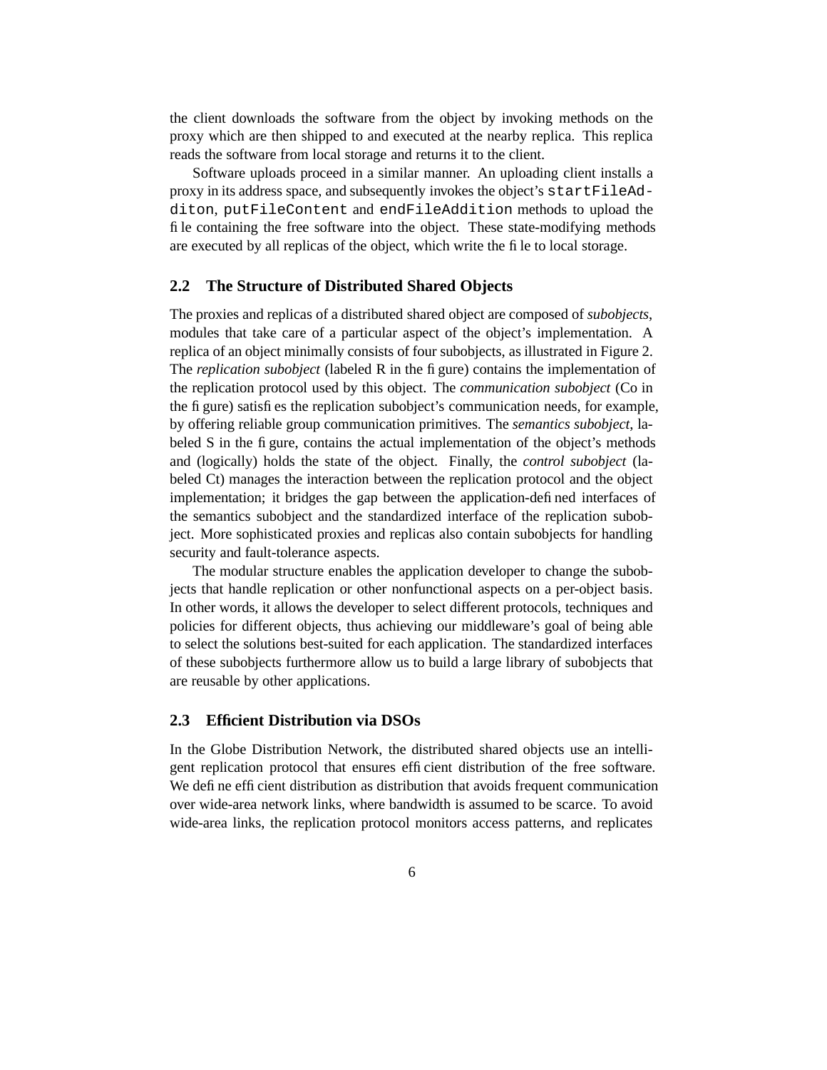the client downloads the software from the object by invoking methods on the proxy which are then shipped to and executed at the nearby replica. This replica reads the software from local storage and returns it to the client.

Software uploads proceed in a similar manner. An uploading client installs a proxy in its address space, and subsequently invokes the object's startFileAdditon, putFileContent and endFileAddition methods to upload the file containing the free software into the object. These state-modifying methods are executed by all replicas of the object, which write the file to local storage.

#### **2.2 The Structure of Distributed Shared Objects**

The proxies and replicas of a distributed shared object are composed of *subobjects*, modules that take care of a particular aspect of the object's implementation. A replica of an object minimally consists of four subobjects, as illustrated in Figure 2. The *replication subobject* (labeled R in the figure) contains the implementation of the replication protocol used by this object. The *communication subobject* (Co in the figure) satisfies the replication subobject's communication needs, for example, by offering reliable group communication primitives. The *semantics subobject*, labeled S in the figure, contains the actual implementation of the object's methods and (logically) holds the state of the object. Finally, the *control subobject* (labeled Ct) manages the interaction between the replication protocol and the object implementation; it bridges the gap between the application-defined interfaces of the semantics subobject and the standardized interface of the replication subobject. More sophisticated proxies and replicas also contain subobjects for handling security and fault-tolerance aspects.

The modular structure enables the application developer to change the subobjects that handle replication or other nonfunctional aspects on a per-object basis. In other words, it allows the developer to select different protocols, techniques and policies for different objects, thus achieving our middleware's goal of being able to select the solutions best-suited for each application. The standardized interfaces of these subobjects furthermore allow us to build a large library of subobjects that are reusable by other applications.

#### **2.3 Efficient Distribution via DSOs**

In the Globe Distribution Network, the distributed shared objects use an intelligent replication protocol that ensures efficient distribution of the free software. We define efficient distribution as distribution that avoids frequent communication over wide-area network links, where bandwidth is assumed to be scarce. To avoid wide-area links, the replication protocol monitors access patterns, and replicates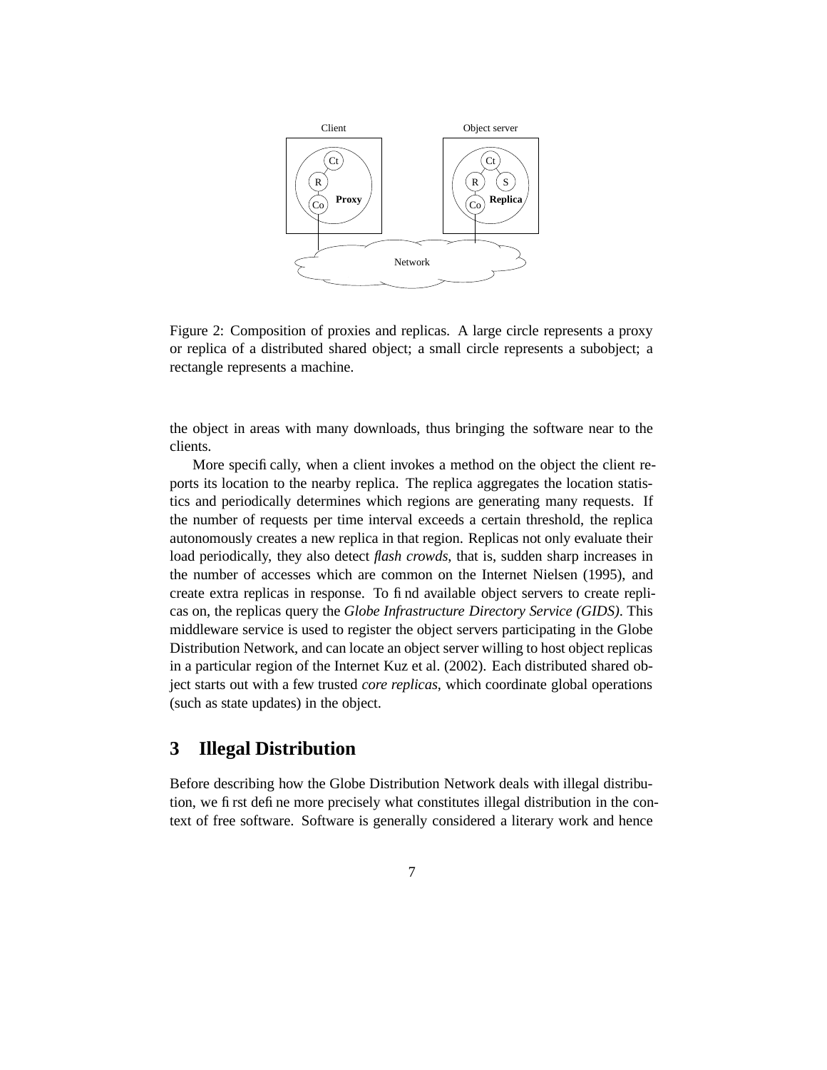

Figure 2: Composition of proxies and replicas. A large circle represents a proxy or replica of a distributed shared object; a small circle represents a subobject; a rectangle represents a machine.

the object in areas with many downloads, thus bringing the software near to the clients.

More specifically, when a client invokes a method on the object the client reports its location to the nearby replica. The replica aggregates the location statistics and periodically determines which regions are generating many requests. If the number of requests per time interval exceeds a certain threshold, the replica autonomously creates a new replica in that region. Replicas not only evaluate their load periodically, they also detect *flash crowds*, that is, sudden sharp increases in the number of accesses which are common on the Internet Nielsen (1995), and create extra replicas in response. To find available object servers to create replicas on, the replicas query the *Globe Infrastructure Directory Service (GIDS)*. This middleware service is used to register the object servers participating in the Globe Distribution Network, and can locate an object server willing to host object replicas in a particular region of the Internet Kuz et al. (2002). Each distributed shared object starts out with a few trusted *core replicas*, which coordinate global operations (such as state updates) in the object.

### **3 Illegal Distribution**

Before describing how the Globe Distribution Network deals with illegal distribution, we first define more precisely what constitutes illegal distribution in the context of free software. Software is generally considered a literary work and hence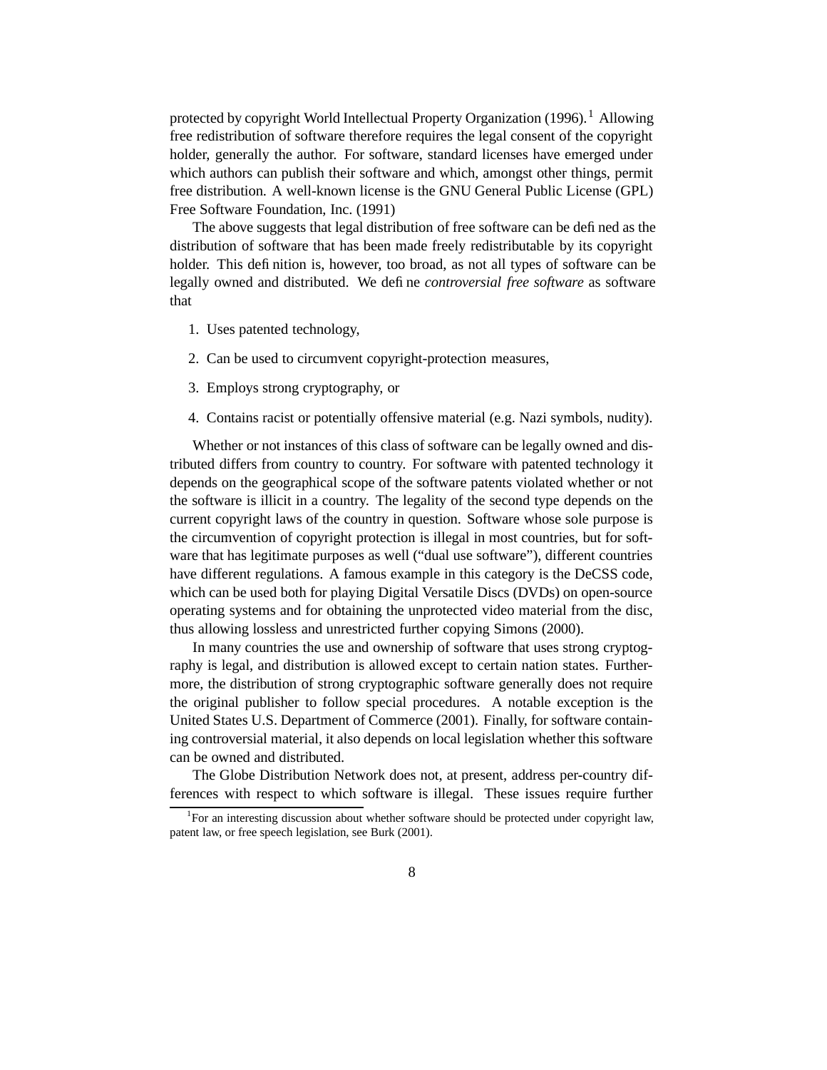protected by copyright World Intellectual Property Organization  $(1996)$ .<sup>1</sup> Allowing free redistribution of software therefore requires the legal consent of the copyright holder, generally the author. For software, standard licenses have emerged under which authors can publish their software and which, amongst other things, permit free distribution. A well-known license is the GNU General Public License (GPL) Free Software Foundation, Inc. (1991)

The above suggests that legal distribution of free software can be defined as the distribution of software that has been made freely redistributable by its copyright holder. This definition is, however, too broad, as not all types of software can be legally owned and distributed. We define *controversial free software* as software that

- 1. Uses patented technology,
- 2. Can be used to circumvent copyright-protection measures,
- 3. Employs strong cryptography, or
- 4. Contains racist or potentially offensive material (e.g. Nazi symbols, nudity).

Whether or not instances of this class of software can be legally owned and distributed differs from country to country. For software with patented technology it depends on the geographical scope of the software patents violated whether or not the software is illicit in a country. The legality of the second type depends on the current copyright laws of the country in question. Software whose sole purpose is the circumvention of copyright protection is illegal in most countries, but for software that has legitimate purposes as well ("dual use software"), different countries have different regulations. A famous example in this category is the DeCSS code, which can be used both for playing Digital Versatile Discs (DVDs) on open-source operating systems and for obtaining the unprotected video material from the disc, thus allowing lossless and unrestricted further copying Simons (2000).

In many countries the use and ownership of software that uses strong cryptography is legal, and distribution is allowed except to certain nation states. Furthermore, the distribution of strong cryptographic software generally does not require the original publisher to follow special procedures. A notable exception is the United States U.S. Department of Commerce (2001). Finally, for software containing controversial material, it also depends on local legislation whether this software can be owned and distributed.

The Globe Distribution Network does not, at present, address per-country differences with respect to which software is illegal. These issues require further

<sup>&</sup>lt;sup>1</sup>For an interesting discussion about whether software should be protected under copyright law, patent law, or free speech legislation, see Burk (2001).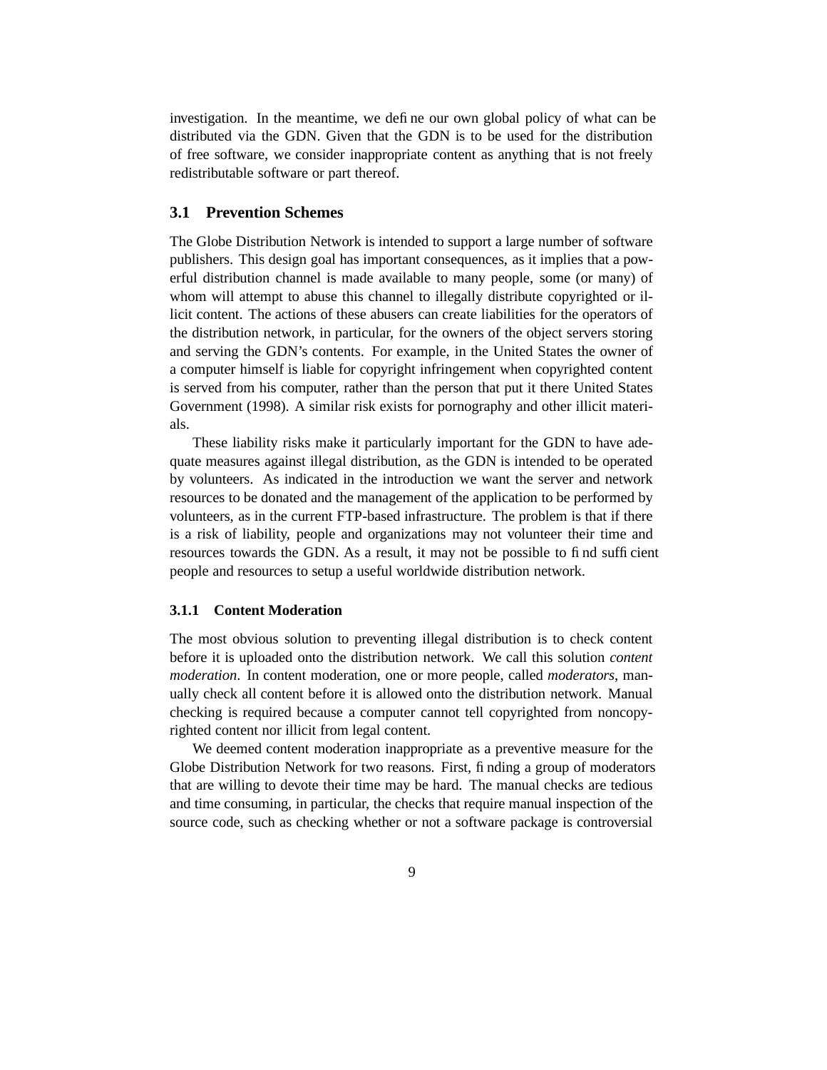investigation. In the meantime, we define our own global policy of what can be distributed via the GDN. Given that the GDN is to be used for the distribution of free software, we consider inappropriate content as anything that is not freely redistributable software or part thereof.

### **3.1 Prevention Schemes**

The Globe Distribution Network is intended to support a large number of software publishers. This design goal has important consequences, as it implies that a powerful distribution channel is made available to many people, some (or many) of whom will attempt to abuse this channel to illegally distribute copyrighted or illicit content. The actions of these abusers can create liabilities for the operators of the distribution network, in particular, for the owners of the object servers storing and serving the GDN's contents. For example, in the United States the owner of a computer himself is liable for copyright infringement when copyrighted content is served from his computer, rather than the person that put it there United States Government (1998). A similar risk exists for pornography and other illicit materials.

These liability risks make it particularly important for the GDN to have adequate measures against illegal distribution, as the GDN is intended to be operated by volunteers. As indicated in the introduction we want the server and network resources to be donated and the management of the application to be performed by volunteers, as in the current FTP-based infrastructure. The problem is that if there is a risk of liability, people and organizations may not volunteer their time and resources towards the GDN. As a result, it may not be possible to find sufficient people and resources to setup a useful worldwide distribution network.

#### **3.1.1 Content Moderation**

The most obvious solution to preventing illegal distribution is to check content before it is uploaded onto the distribution network. We call this solution *content moderation*. In content moderation, one or more people, called *moderators*, manually check all content before it is allowed onto the distribution network. Manual checking is required because a computer cannot tell copyrighted from noncopyrighted content nor illicit from legal content.

We deemed content moderation inappropriate as a preventive measure for the Globe Distribution Network for two reasons. First, finding a group of moderators that are willing to devote their time may be hard. The manual checks are tedious and time consuming, in particular, the checks that require manual inspection of the source code, such as checking whether or not a software package is controversial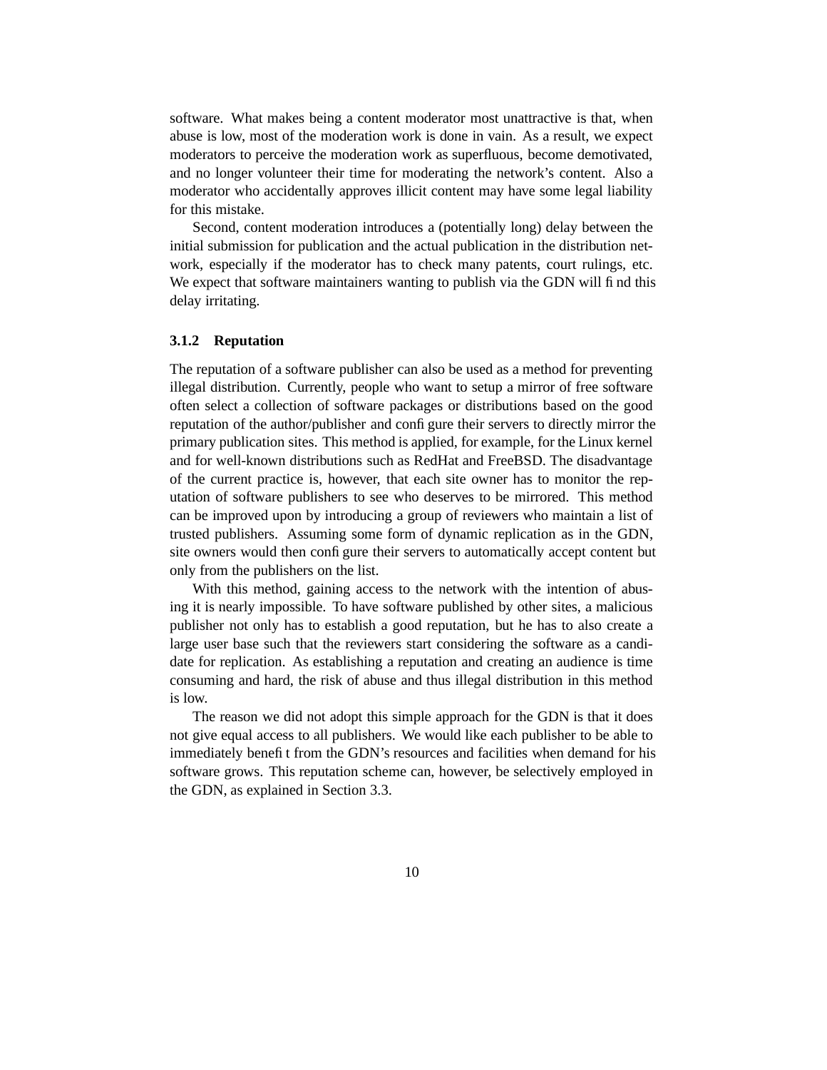software. What makes being a content moderator most unattractive is that, when abuse is low, most of the moderation work is done in vain. As a result, we expect moderators to perceive the moderation work as superfluous, become demotivated, and no longer volunteer their time for moderating the network's content. Also a moderator who accidentally approves illicit content may have some legal liability for this mistake.

Second, content moderation introduces a (potentially long) delay between the initial submission for publication and the actual publication in the distribution network, especially if the moderator has to check many patents, court rulings, etc. We expect that software maintainers wanting to publish via the GDN will find this delay irritating.

#### **3.1.2 Reputation**

The reputation of a software publisher can also be used as a method for preventing illegal distribution. Currently, people who want to setup a mirror of free software often select a collection of software packages or distributions based on the good reputation of the author/publisher and configure their servers to directly mirror the primary publication sites. This method is applied, for example, for the Linux kernel and for well-known distributions such as RedHat and FreeBSD. The disadvantage of the current practice is, however, that each site owner has to monitor the reputation of software publishers to see who deserves to be mirrored. This method can be improved upon by introducing a group of reviewers who maintain a list of trusted publishers. Assuming some form of dynamic replication as in the GDN, site owners would then configure their servers to automatically accept content but only from the publishers on the list.

With this method, gaining access to the network with the intention of abusing it is nearly impossible. To have software published by other sites, a malicious publisher not only has to establish a good reputation, but he has to also create a large user base such that the reviewers start considering the software as a candidate for replication. As establishing a reputation and creating an audience is time consuming and hard, the risk of abuse and thus illegal distribution in this method is low.

The reason we did not adopt this simple approach for the GDN is that it does not give equal access to all publishers. We would like each publisher to be able to immediately benefit from the GDN's resources and facilities when demand for his software grows. This reputation scheme can, however, be selectively employed in the GDN, as explained in Section 3.3.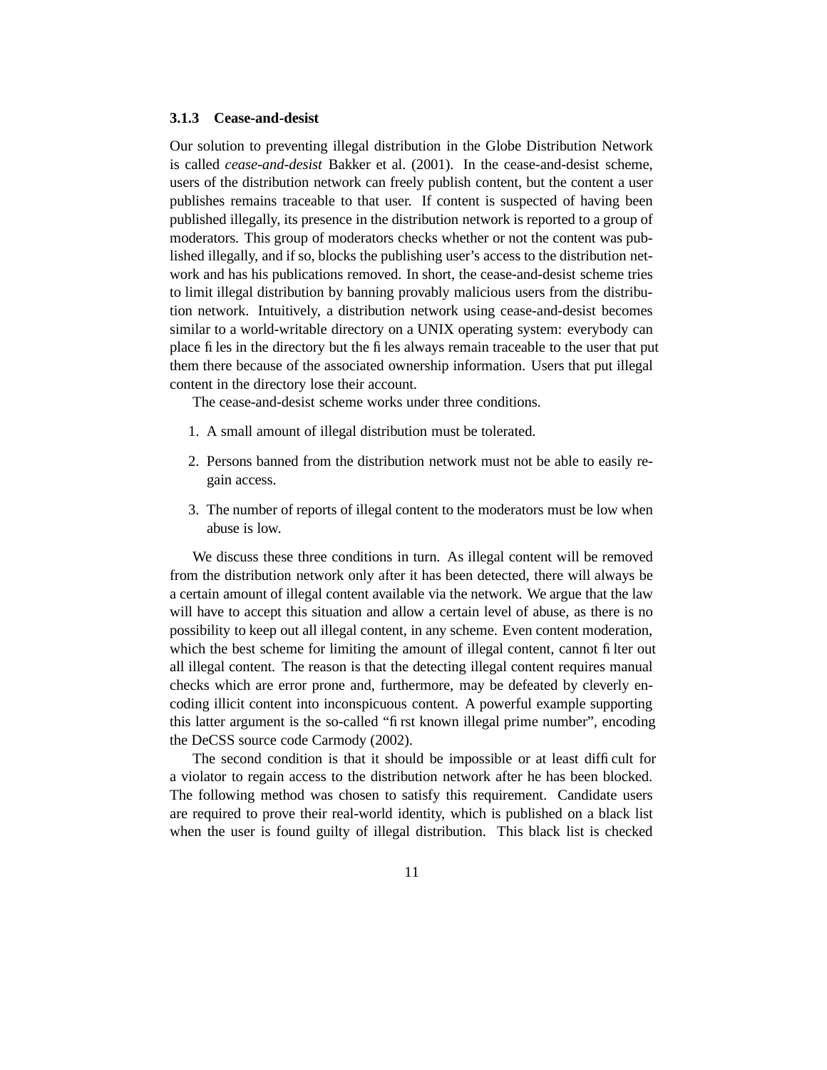#### **3.1.3 Cease-and-desist**

Our solution to preventing illegal distribution in the Globe Distribution Network is called *cease-and-desist* Bakker et al. (2001). In the cease-and-desist scheme, users of the distribution network can freely publish content, but the content a user publishes remains traceable to that user. If content is suspected of having been published illegally, its presence in the distribution network is reported to a group of moderators. This group of moderators checks whether or not the content was published illegally, and if so, blocks the publishing user's access to the distribution network and has his publications removed. In short, the cease-and-desist scheme tries to limit illegal distribution by banning provably malicious users from the distribution network. Intuitively, a distribution network using cease-and-desist becomes similar to a world-writable directory on a UNIX operating system: everybody can place files in the directory but the files always remain traceable to the user that put them there because of the associated ownership information. Users that put illegal content in the directory lose their account.

The cease-and-desist scheme works under three conditions.

- 1. A small amount of illegal distribution must be tolerated.
- 2. Persons banned from the distribution network must not be able to easily regain access.
- 3. The number of reports of illegal content to the moderators must be low when abuse is low.

We discuss these three conditions in turn. As illegal content will be removed from the distribution network only after it has been detected, there will always be a certain amount of illegal content available via the network. We argue that the law will have to accept this situation and allow a certain level of abuse, as there is no possibility to keep out all illegal content, in any scheme. Even content moderation, which the best scheme for limiting the amount of illegal content, cannot filter out all illegal content. The reason is that the detecting illegal content requires manual checks which are error prone and, furthermore, may be defeated by cleverly encoding illicit content into inconspicuous content. A powerful example supporting this latter argument is the so-called "first known illegal prime number", encoding the DeCSS source code Carmody (2002).

The second condition is that it should be impossible or at least difficult for a violator to regain access to the distribution network after he has been blocked. The following method was chosen to satisfy this requirement. Candidate users are required to prove their real-world identity, which is published on a black list when the user is found guilty of illegal distribution. This black list is checked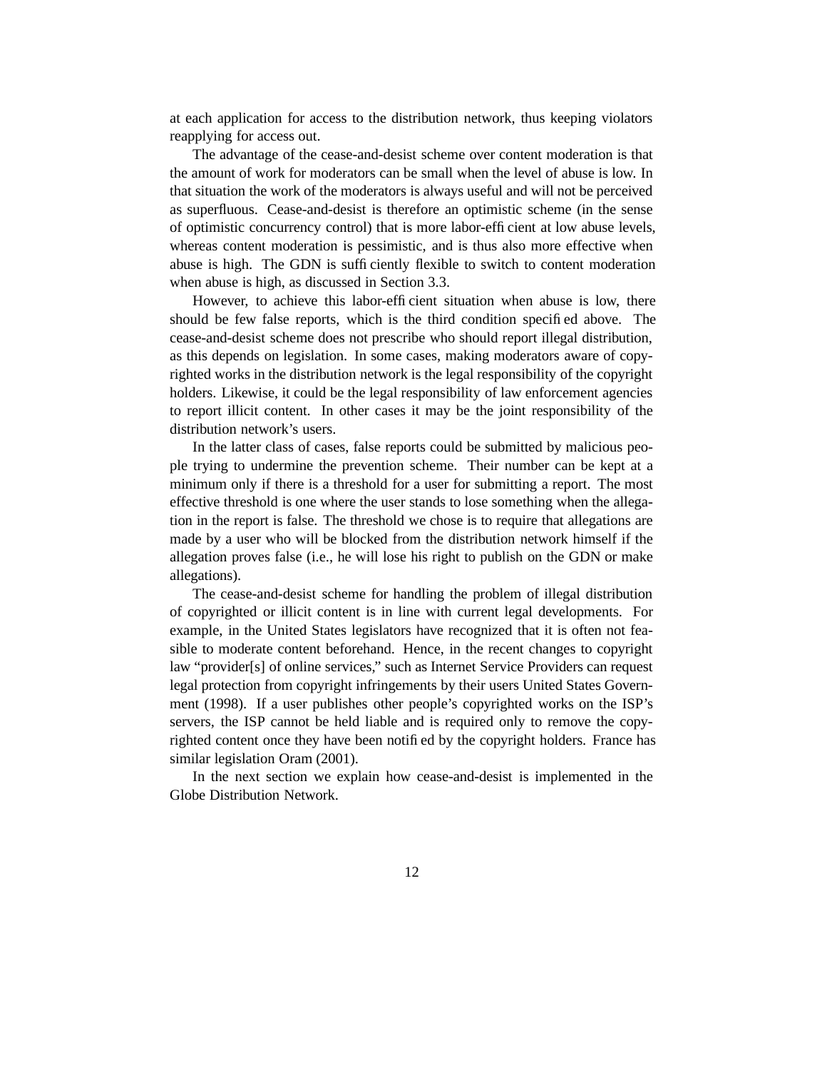at each application for access to the distribution network, thus keeping violators reapplying for access out.

The advantage of the cease-and-desist scheme over content moderation is that the amount of work for moderators can be small when the level of abuse is low. In that situation the work of the moderators is always useful and will not be perceived as superfluous. Cease-and-desist is therefore an optimistic scheme (in the sense of optimistic concurrency control) that is more labor-efficient at low abuse levels, whereas content moderation is pessimistic, and is thus also more effective when abuse is high. The GDN is sufficiently flexible to switch to content moderation when abuse is high, as discussed in Section 3.3.

However, to achieve this labor-efficient situation when abuse is low, there should be few false reports, which is the third condition specified above. The cease-and-desist scheme does not prescribe who should report illegal distribution, as this depends on legislation. In some cases, making moderators aware of copyrighted works in the distribution network is the legal responsibility of the copyright holders. Likewise, it could be the legal responsibility of law enforcement agencies to report illicit content. In other cases it may be the joint responsibility of the distribution network's users.

In the latter class of cases, false reports could be submitted by malicious people trying to undermine the prevention scheme. Their number can be kept at a minimum only if there is a threshold for a user for submitting a report. The most effective threshold is one where the user stands to lose something when the allegation in the report is false. The threshold we chose is to require that allegations are made by a user who will be blocked from the distribution network himself if the allegation proves false (i.e., he will lose his right to publish on the GDN or make allegations).

The cease-and-desist scheme for handling the problem of illegal distribution of copyrighted or illicit content is in line with current legal developments. For example, in the United States legislators have recognized that it is often not feasible to moderate content beforehand. Hence, in the recent changes to copyright law "provider[s] of online services," such as Internet Service Providers can request legal protection from copyright infringements by their users United States Government (1998). If a user publishes other people's copyrighted works on the ISP's servers, the ISP cannot be held liable and is required only to remove the copyrighted content once they have been notified by the copyright holders. France has similar legislation Oram (2001).

In the next section we explain how cease-and-desist is implemented in the Globe Distribution Network.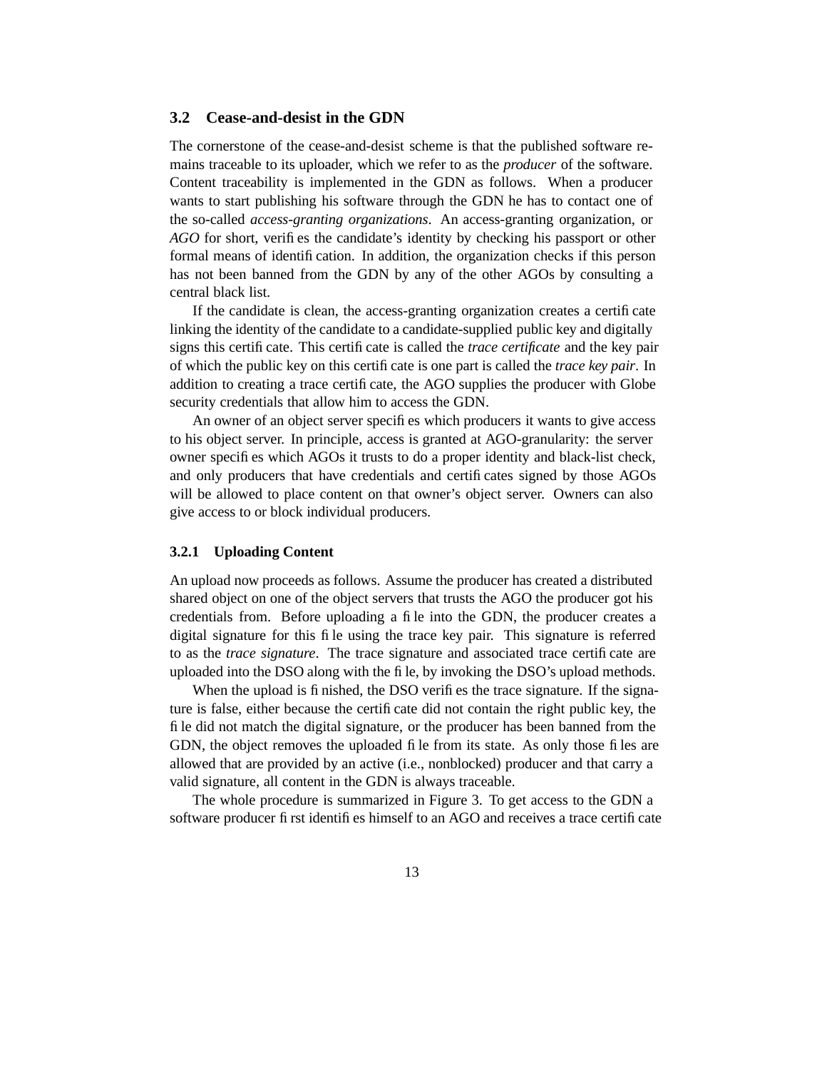#### **3.2 Cease-and-desist in the GDN**

The cornerstone of the cease-and-desist scheme is that the published software remains traceable to its uploader, which we refer to as the *producer* of the software. Content traceability is implemented in the GDN as follows. When a producer wants to start publishing his software through the GDN he has to contact one of the so-called *access-granting organizations*. An access-granting organization, or *AGO* for short, verifies the candidate's identity by checking his passport or other formal means of identification. In addition, the organization checks if this person has not been banned from the GDN by any of the other AGOs by consulting a central black list.

If the candidate is clean, the access-granting organization creates a certificate linking the identity of the candidate to a candidate-supplied public key and digitally signs this certificate. This certificate is called the *trace certificate* and the key pair of which the public key on this certificate is one part is called the *trace key pair*. In addition to creating a trace certificate, the AGO supplies the producer with Globe security credentials that allow him to access the GDN.

An owner of an object server specifies which producers it wants to give access to his object server. In principle, access is granted at AGO-granularity: the server owner specifies which AGOs it trusts to do a proper identity and black-list check, and only producers that have credentials and certificates signed by those AGOs will be allowed to place content on that owner's object server. Owners can also give access to or block individual producers.

#### **3.2.1 Uploading Content**

An upload now proceeds as follows. Assume the producer has created a distributed shared object on one of the object servers that trusts the AGO the producer got his credentials from. Before uploading a file into the GDN, the producer creates a digital signature for this file using the trace key pair. This signature is referred to as the *trace signature*. The trace signature and associated trace certificate are uploaded into the DSO along with the file, by invoking the DSO's upload methods.

When the upload is finished, the DSO verifies the trace signature. If the signature is false, either because the certificate did not contain the right public key, the file did not match the digital signature, or the producer has been banned from the GDN, the object removes the uploaded file from its state. As only those files are allowed that are provided by an active (i.e., nonblocked) producer and that carry a valid signature, all content in the GDN is always traceable.

The whole procedure is summarized in Figure 3. To get access to the GDN a software producer first identifies himself to an AGO and receives a trace certificate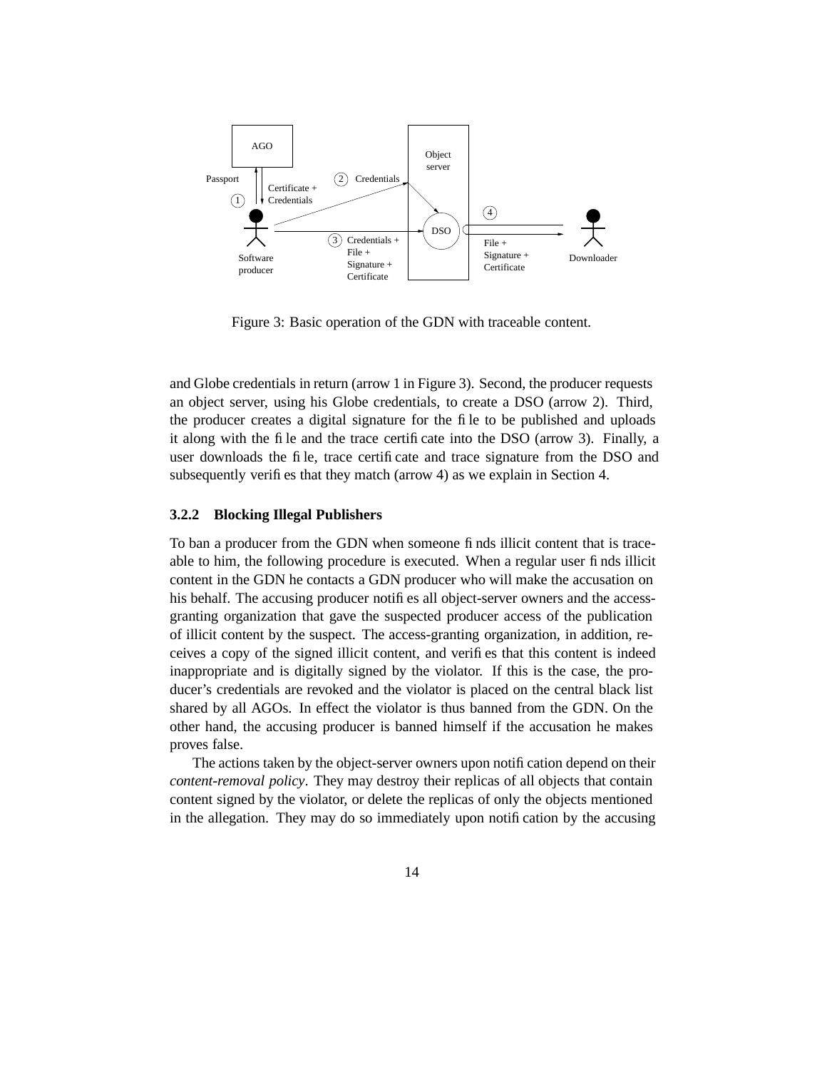

Figure 3: Basic operation of the GDN with traceable content.

and Globe credentials in return (arrow 1 in Figure 3). Second, the producer requests an object server, using his Globe credentials, to create a DSO (arrow 2). Third, the producer creates a digital signature for the file to be published and uploads it along with the file and the trace certificate into the DSO (arrow 3). Finally, a user downloads the file, trace certificate and trace signature from the DSO and subsequently verifies that they match (arrow 4) as we explain in Section 4.

#### **3.2.2 Blocking Illegal Publishers**

To ban a producer from the GDN when someone finds illicit content that is traceable to him, the following procedure is executed. When a regular user finds illicit content in the GDN he contacts a GDN producer who will make the accusation on his behalf. The accusing producer notifies all object-server owners and the accessgranting organization that gave the suspected producer access of the publication of illicit content by the suspect. The access-granting organization, in addition, receives a copy of the signed illicit content, and verifies that this content is indeed inappropriate and is digitally signed by the violator. If this is the case, the producer's credentials are revoked and the violator is placed on the central black list shared by all AGOs. In effect the violator is thus banned from the GDN. On the other hand, the accusing producer is banned himself if the accusation he makes proves false.

The actions taken by the object-server owners upon notification depend on their *content-removal policy*. They may destroy their replicas of all objects that contain content signed by the violator, or delete the replicas of only the objects mentioned in the allegation. They may do so immediately upon notification by the accusing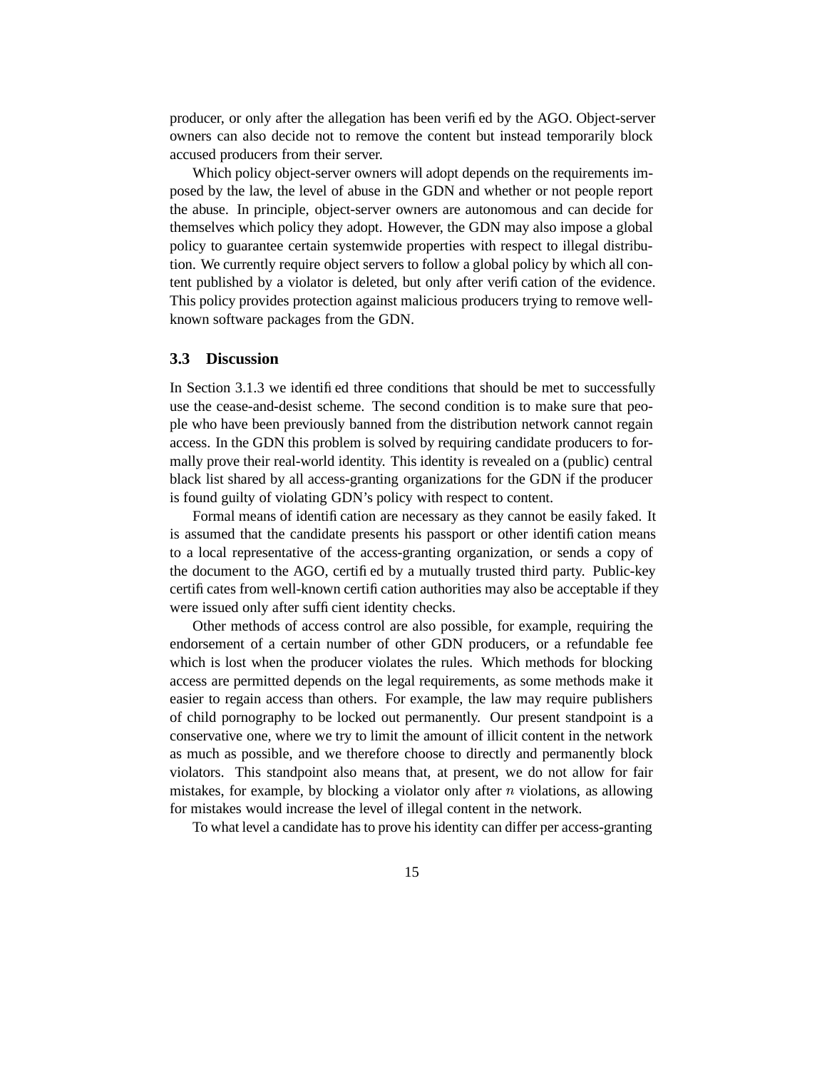producer, or only after the allegation has been verified by the AGO. Object-server owners can also decide not to remove the content but instead temporarily block accused producers from their server.

Which policy object-server owners will adopt depends on the requirements imposed by the law, the level of abuse in the GDN and whether or not people report the abuse. In principle, object-server owners are autonomous and can decide for themselves which policy they adopt. However, the GDN may also impose a global policy to guarantee certain systemwide properties with respect to illegal distribution. We currently require object servers to follow a global policy by which all content published by a violator is deleted, but only after verification of the evidence. This policy provides protection against malicious producers trying to remove wellknown software packages from the GDN.

#### **3.3 Discussion**

In Section 3.1.3 we identified three conditions that should be met to successfully use the cease-and-desist scheme. The second condition is to make sure that people who have been previously banned from the distribution network cannot regain access. In the GDN this problem is solved by requiring candidate producers to formally prove their real-world identity. This identity is revealed on a (public) central black list shared by all access-granting organizations for the GDN if the producer is found guilty of violating GDN's policy with respect to content.

Formal means of identification are necessary as they cannot be easily faked. It is assumed that the candidate presents his passport or other identification means to a local representative of the access-granting organization, or sends a copy of the document to the AGO, certified by a mutually trusted third party. Public-key certificates from well-known certification authorities may also be acceptable if they were issued only after sufficient identity checks.

Other methods of access control are also possible, for example, requiring the endorsement of a certain number of other GDN producers, or a refundable fee which is lost when the producer violates the rules. Which methods for blocking access are permitted depends on the legal requirements, as some methods make it easier to regain access than others. For example, the law may require publishers of child pornography to be locked out permanently. Our present standpoint is a conservative one, where we try to limit the amount of illicit content in the network as much as possible, and we therefore choose to directly and permanently block violators. This standpoint also means that, at present, we do not allow for fair mistakes, for example, by blocking a violator only after  $n$  violations, as allowing for mistakes would increase the level of illegal content in the network.

To what level a candidate has to prove his identity can differ per access-granting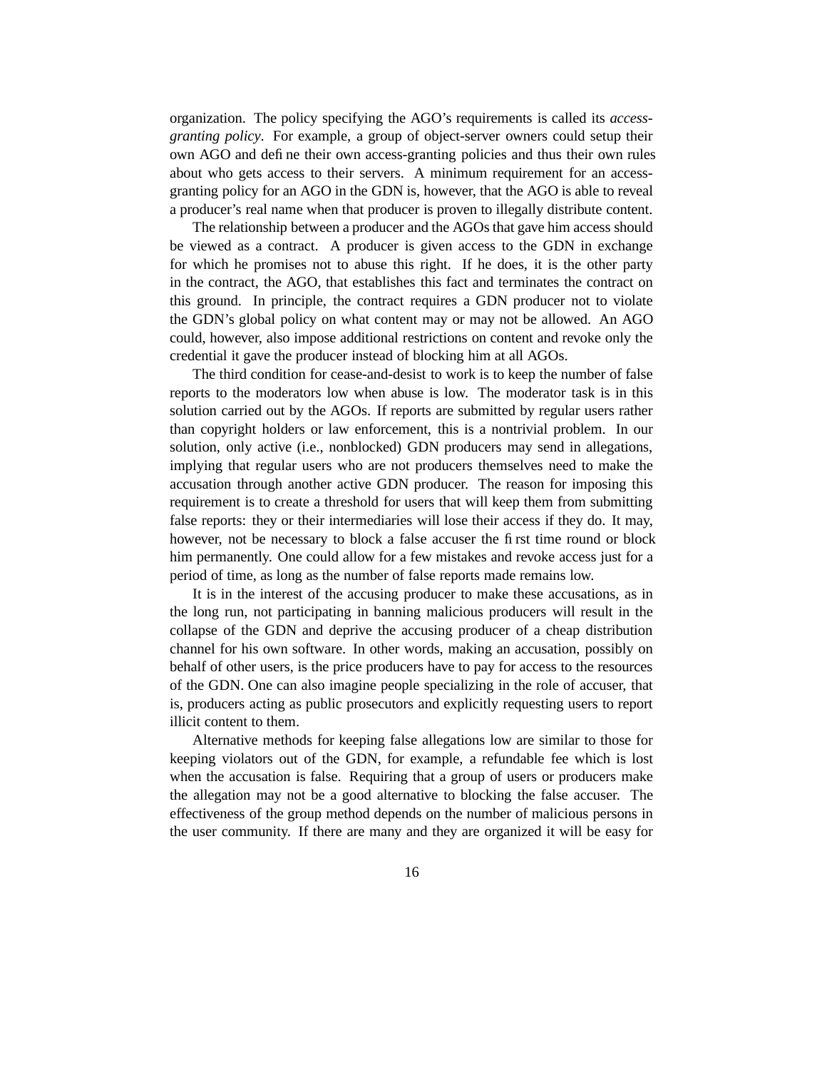organization. The policy specifying the AGO's requirements is called its *accessgranting policy*. For example, a group of object-server owners could setup their own AGO and define their own access-granting policies and thus their own rules about who gets access to their servers. A minimum requirement for an accessgranting policy for an AGO in the GDN is, however, that the AGO is able to reveal a producer's real name when that producer is proven to illegally distribute content.

The relationship between a producer and the AGOs that gave him access should be viewed as a contract. A producer is given access to the GDN in exchange for which he promises not to abuse this right. If he does, it is the other party in the contract, the AGO, that establishes this fact and terminates the contract on this ground. In principle, the contract requires a GDN producer not to violate the GDN's global policy on what content may or may not be allowed. An AGO could, however, also impose additional restrictions on content and revoke only the credential it gave the producer instead of blocking him at all AGOs.

The third condition for cease-and-desist to work is to keep the number of false reports to the moderators low when abuse is low. The moderator task is in this solution carried out by the AGOs. If reports are submitted by regular users rather than copyright holders or law enforcement, this is a nontrivial problem. In our solution, only active (i.e., nonblocked) GDN producers may send in allegations, implying that regular users who are not producers themselves need to make the accusation through another active GDN producer. The reason for imposing this requirement is to create a threshold for users that will keep them from submitting false reports: they or their intermediaries will lose their access if they do. It may, however, not be necessary to block a false accuser the first time round or block him permanently. One could allow for a few mistakes and revoke access just for a period of time, as long as the number of false reports made remains low.

It is in the interest of the accusing producer to make these accusations, as in the long run, not participating in banning malicious producers will result in the collapse of the GDN and deprive the accusing producer of a cheap distribution channel for his own software. In other words, making an accusation, possibly on behalf of other users, is the price producers have to pay for access to the resources of the GDN. One can also imagine people specializing in the role of accuser, that is, producers acting as public prosecutors and explicitly requesting users to report illicit content to them.

Alternative methods for keeping false allegations low are similar to those for keeping violators out of the GDN, for example, a refundable fee which is lost when the accusation is false. Requiring that a group of users or producers make the allegation may not be a good alternative to blocking the false accuser. The effectiveness of the group method depends on the number of malicious persons in the user community. If there are many and they are organized it will be easy for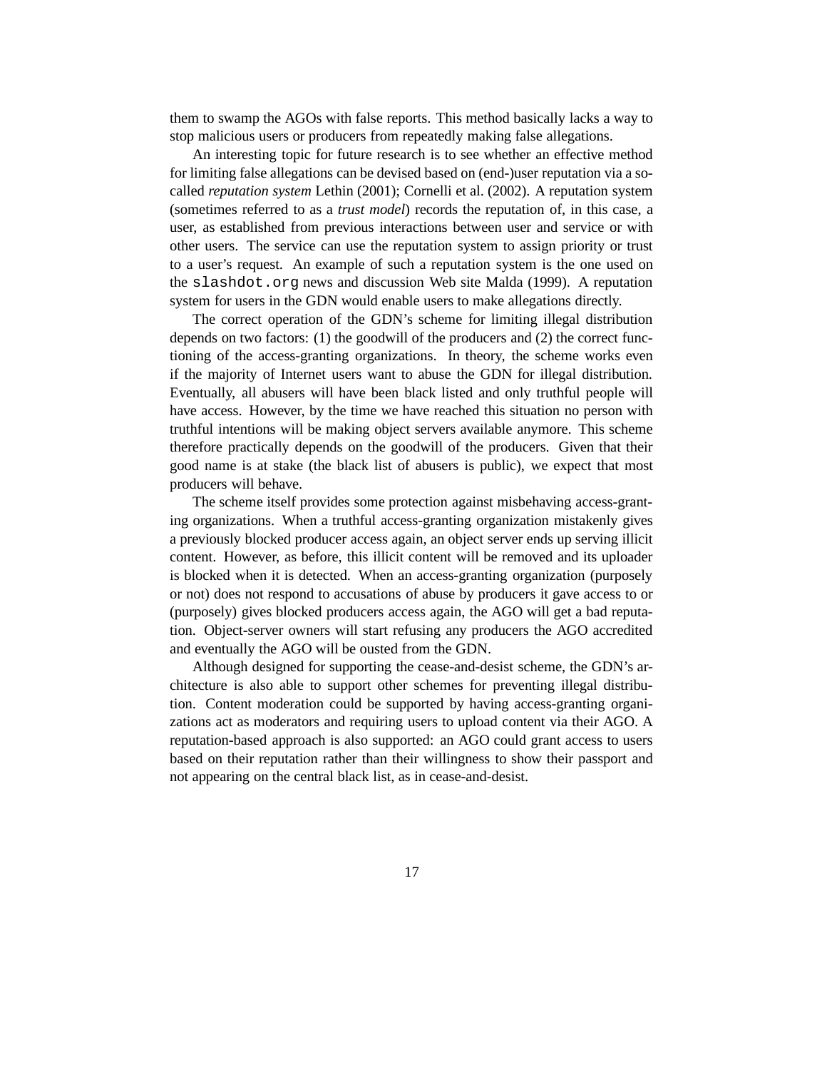them to swamp the AGOs with false reports. This method basically lacks a way to stop malicious users or producers from repeatedly making false allegations.

An interesting topic for future research is to see whether an effective method for limiting false allegations can be devised based on (end-)user reputation via a socalled *reputation system* Lethin (2001); Cornelli et al. (2002). A reputation system (sometimes referred to as a *trust model*) records the reputation of, in this case, a user, as established from previous interactions between user and service or with other users. The service can use the reputation system to assign priority or trust to a user's request. An example of such a reputation system is the one used on the slashdot.org news and discussion Web site Malda (1999). A reputation system for users in the GDN would enable users to make allegations directly.

The correct operation of the GDN's scheme for limiting illegal distribution depends on two factors: (1) the goodwill of the producers and (2) the correct functioning of the access-granting organizations. In theory, the scheme works even if the majority of Internet users want to abuse the GDN for illegal distribution. Eventually, all abusers will have been black listed and only truthful people will have access. However, by the time we have reached this situation no person with truthful intentions will be making object servers available anymore. This scheme therefore practically depends on the goodwill of the producers. Given that their good name is at stake (the black list of abusers is public), we expect that most producers will behave.

The scheme itself provides some protection against misbehaving access-granting organizations. When a truthful access-granting organization mistakenly gives a previously blocked producer access again, an object server ends up serving illicit content. However, as before, this illicit content will be removed and its uploader is blocked when it is detected. When an access-granting organization (purposely or not) does not respond to accusations of abuse by producers it gave access to or (purposely) gives blocked producers access again, the AGO will get a bad reputation. Object-server owners will start refusing any producers the AGO accredited and eventually the AGO will be ousted from the GDN.

Although designed for supporting the cease-and-desist scheme, the GDN's architecture is also able to support other schemes for preventing illegal distribution. Content moderation could be supported by having access-granting organizations act as moderators and requiring users to upload content via their AGO. A reputation-based approach is also supported: an AGO could grant access to users based on their reputation rather than their willingness to show their passport and not appearing on the central black list, as in cease-and-desist.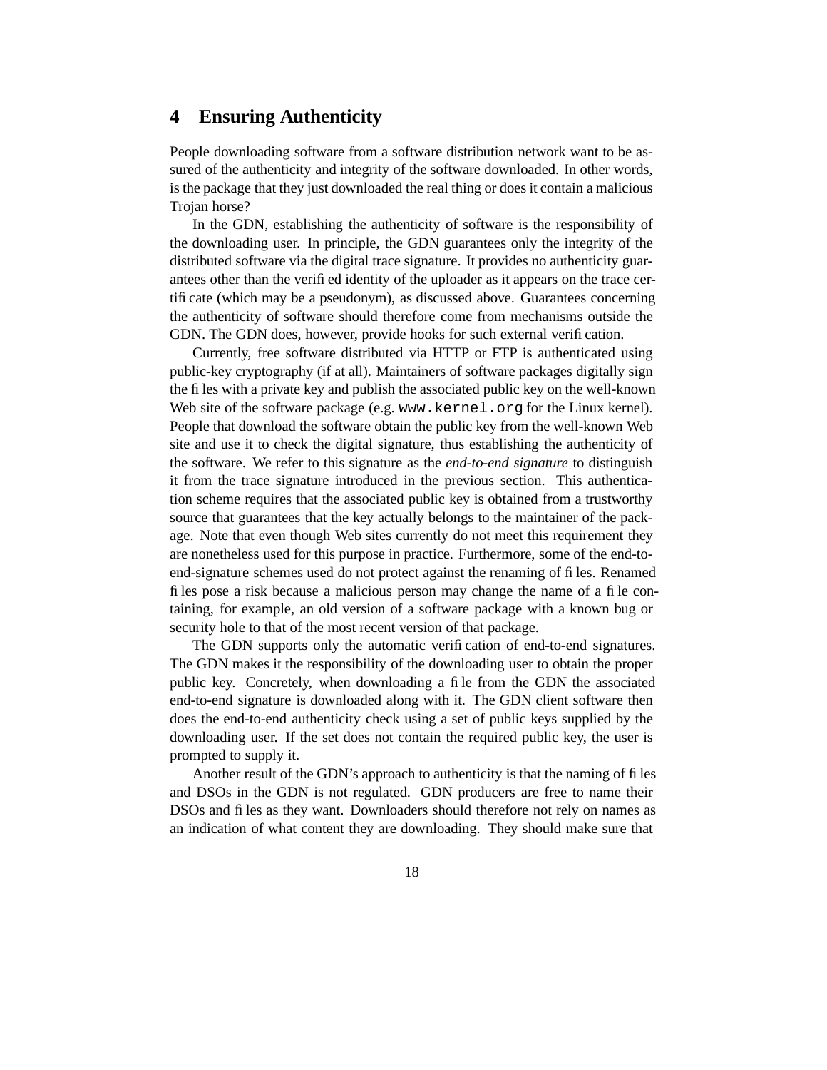### **4 Ensuring Authenticity**

People downloading software from a software distribution network want to be assured of the authenticity and integrity of the software downloaded. In other words, is the package that they just downloaded the real thing or does it contain a malicious Trojan horse?

In the GDN, establishing the authenticity of software is the responsibility of the downloading user. In principle, the GDN guarantees only the integrity of the distributed software via the digital trace signature. It provides no authenticity guarantees other than the verified identity of the uploader as it appears on the trace certificate (which may be a pseudonym), as discussed above. Guarantees concerning the authenticity of software should therefore come from mechanisms outside the GDN. The GDN does, however, provide hooks for such external verification.

Currently, free software distributed via HTTP or FTP is authenticated using public-key cryptography (if at all). Maintainers of software packages digitally sign the files with a private key and publish the associated public key on the well-known Web site of the software package (e.g. www.kernel.org for the Linux kernel). People that download the software obtain the public key from the well-known Web site and use it to check the digital signature, thus establishing the authenticity of the software. We refer to this signature as the *end-to-end signature* to distinguish it from the trace signature introduced in the previous section. This authentication scheme requires that the associated public key is obtained from a trustworthy source that guarantees that the key actually belongs to the maintainer of the package. Note that even though Web sites currently do not meet this requirement they are nonetheless used for this purpose in practice. Furthermore, some of the end-toend-signature schemes used do not protect against the renaming of files. Renamed files pose a risk because a malicious person may change the name of a file containing, for example, an old version of a software package with a known bug or security hole to that of the most recent version of that package.

The GDN supports only the automatic verification of end-to-end signatures. The GDN makes it the responsibility of the downloading user to obtain the proper public key. Concretely, when downloading a file from the GDN the associated end-to-end signature is downloaded along with it. The GDN client software then does the end-to-end authenticity check using a set of public keys supplied by the downloading user. If the set does not contain the required public key, the user is prompted to supply it.

Another result of the GDN's approach to authenticity is that the naming of files and DSOs in the GDN is not regulated. GDN producers are free to name their DSOs and files as they want. Downloaders should therefore not rely on names as an indication of what content they are downloading. They should make sure that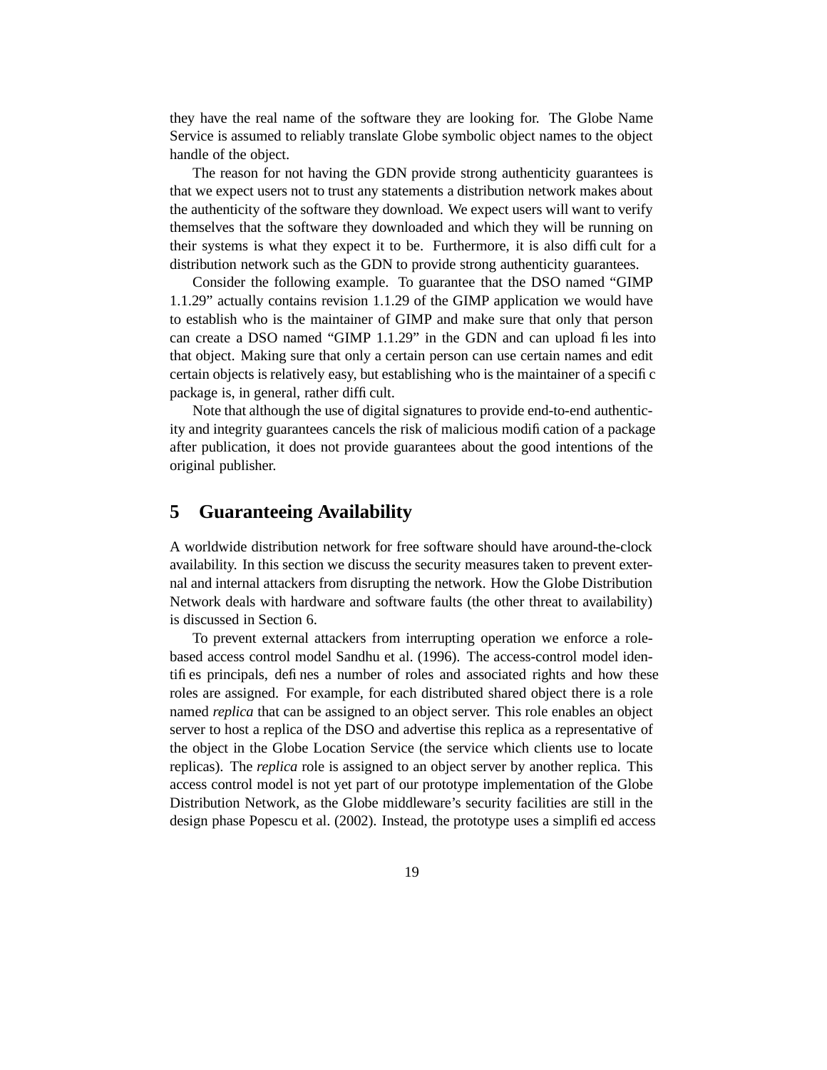they have the real name of the software they are looking for. The Globe Name Service is assumed to reliably translate Globe symbolic object names to the object handle of the object.

The reason for not having the GDN provide strong authenticity guarantees is that we expect users not to trust any statements a distribution network makes about the authenticity of the software they download. We expect users will want to verify themselves that the software they downloaded and which they will be running on their systems is what they expect it to be. Furthermore, it is also difficult for a distribution network such as the GDN to provide strong authenticity guarantees.

Consider the following example. To guarantee that the DSO named "GIMP 1.1.29" actually contains revision 1.1.29 of the GIMP application we would have to establish who is the maintainer of GIMP and make sure that only that person can create a DSO named "GIMP 1.1.29" in the GDN and can upload files into that object. Making sure that only a certain person can use certain names and edit certain objects is relatively easy, but establishing who is the maintainer of a specific package is, in general, rather difficult.

Note that although the use of digital signatures to provide end-to-end authenticity and integrity guarantees cancels the risk of malicious modification of a package after publication, it does not provide guarantees about the good intentions of the original publisher.

### **5 Guaranteeing Availability**

A worldwide distribution network for free software should have around-the-clock availability. In this section we discuss the security measures taken to prevent external and internal attackers from disrupting the network. How the Globe Distribution Network deals with hardware and software faults (the other threat to availability) is discussed in Section 6.

To prevent external attackers from interrupting operation we enforce a rolebased access control model Sandhu et al. (1996). The access-control model identifies principals, defines a number of roles and associated rights and how these roles are assigned. For example, for each distributed shared object there is a role named *replica* that can be assigned to an object server. This role enables an object server to host a replica of the DSO and advertise this replica as a representative of the object in the Globe Location Service (the service which clients use to locate replicas). The *replica* role is assigned to an object server by another replica. This access control model is not yet part of our prototype implementation of the Globe Distribution Network, as the Globe middleware's security facilities are still in the design phase Popescu et al. (2002). Instead, the prototype uses a simplified access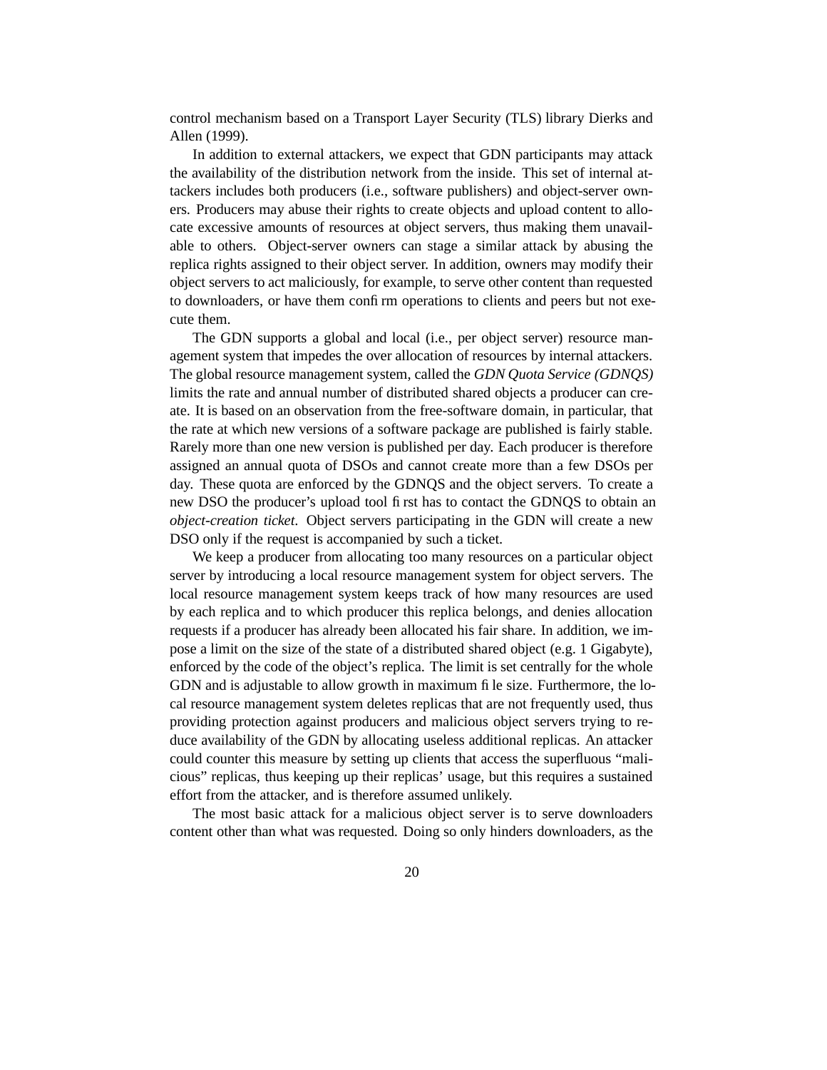control mechanism based on a Transport Layer Security (TLS) library Dierks and Allen (1999).

In addition to external attackers, we expect that GDN participants may attack the availability of the distribution network from the inside. This set of internal attackers includes both producers (i.e., software publishers) and object-server owners. Producers may abuse their rights to create objects and upload content to allocate excessive amounts of resources at object servers, thus making them unavailable to others. Object-server owners can stage a similar attack by abusing the replica rights assigned to their object server. In addition, owners may modify their object servers to act maliciously, for example, to serve other content than requested to downloaders, or have them confirm operations to clients and peers but not execute them.

The GDN supports a global and local (i.e., per object server) resource management system that impedes the over allocation of resources by internal attackers. The global resource management system, called the *GDN Quota Service (GDNQS)* limits the rate and annual number of distributed shared objects a producer can create. It is based on an observation from the free-software domain, in particular, that the rate at which new versions of a software package are published is fairly stable. Rarely more than one new version is published per day. Each producer is therefore assigned an annual quota of DSOs and cannot create more than a few DSOs per day. These quota are enforced by the GDNQS and the object servers. To create a new DSO the producer's upload tool first has to contact the GDNQS to obtain an *object-creation ticket*. Object servers participating in the GDN will create a new DSO only if the request is accompanied by such a ticket.

We keep a producer from allocating too many resources on a particular object server by introducing a local resource management system for object servers. The local resource management system keeps track of how many resources are used by each replica and to which producer this replica belongs, and denies allocation requests if a producer has already been allocated his fair share. In addition, we impose a limit on the size of the state of a distributed shared object (e.g. 1 Gigabyte), enforced by the code of the object's replica. The limit is set centrally for the whole GDN and is adjustable to allow growth in maximum file size. Furthermore, the local resource management system deletes replicas that are not frequently used, thus providing protection against producers and malicious object servers trying to reduce availability of the GDN by allocating useless additional replicas. An attacker could counter this measure by setting up clients that access the superfluous "malicious" replicas, thus keeping up their replicas' usage, but this requires a sustained effort from the attacker, and is therefore assumed unlikely.

The most basic attack for a malicious object server is to serve downloaders content other than what was requested. Doing so only hinders downloaders, as the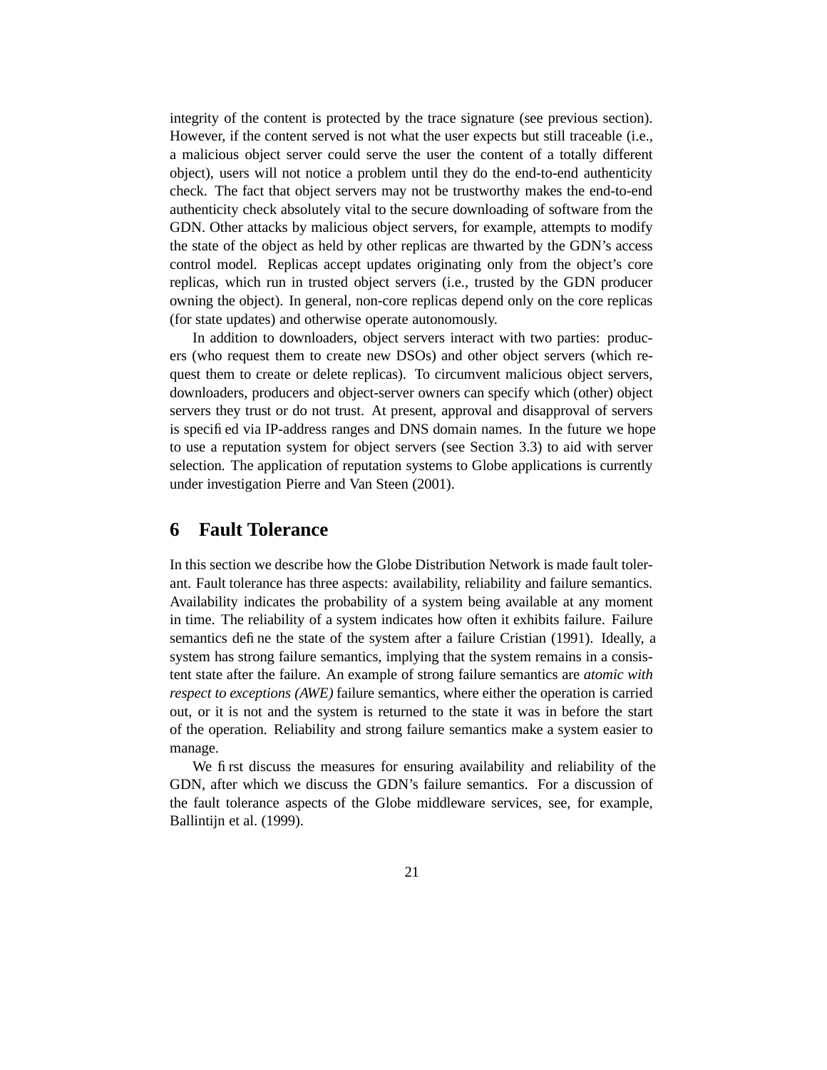integrity of the content is protected by the trace signature (see previous section). However, if the content served is not what the user expects but still traceable (i.e., a malicious object server could serve the user the content of a totally different object), users will not notice a problem until they do the end-to-end authenticity check. The fact that object servers may not be trustworthy makes the end-to-end authenticity check absolutely vital to the secure downloading of software from the GDN. Other attacks by malicious object servers, for example, attempts to modify the state of the object as held by other replicas are thwarted by the GDN's access control model. Replicas accept updates originating only from the object's core replicas, which run in trusted object servers (i.e., trusted by the GDN producer owning the object). In general, non-core replicas depend only on the core replicas (for state updates) and otherwise operate autonomously.

In addition to downloaders, object servers interact with two parties: producers (who request them to create new DSOs) and other object servers (which request them to create or delete replicas). To circumvent malicious object servers, downloaders, producers and object-server owners can specify which (other) object servers they trust or do not trust. At present, approval and disapproval of servers is specified via IP-address ranges and DNS domain names. In the future we hope to use a reputation system for object servers (see Section 3.3) to aid with server selection. The application of reputation systems to Globe applications is currently under investigation Pierre and Van Steen (2001).

### **6 Fault Tolerance**

In this section we describe how the Globe Distribution Network is made fault tolerant. Fault tolerance has three aspects: availability, reliability and failure semantics. Availability indicates the probability of a system being available at any moment in time. The reliability of a system indicates how often it exhibits failure. Failure semantics define the state of the system after a failure Cristian (1991). Ideally, a system has strong failure semantics, implying that the system remains in a consistent state after the failure. An example of strong failure semantics are *atomic with respect to exceptions (AWE)* failure semantics, where either the operation is carried out, or it is not and the system is returned to the state it was in before the start of the operation. Reliability and strong failure semantics make a system easier to manage.

We first discuss the measures for ensuring availability and reliability of the GDN, after which we discuss the GDN's failure semantics. For a discussion of the fault tolerance aspects of the Globe middleware services, see, for example, Ballintijn et al. (1999).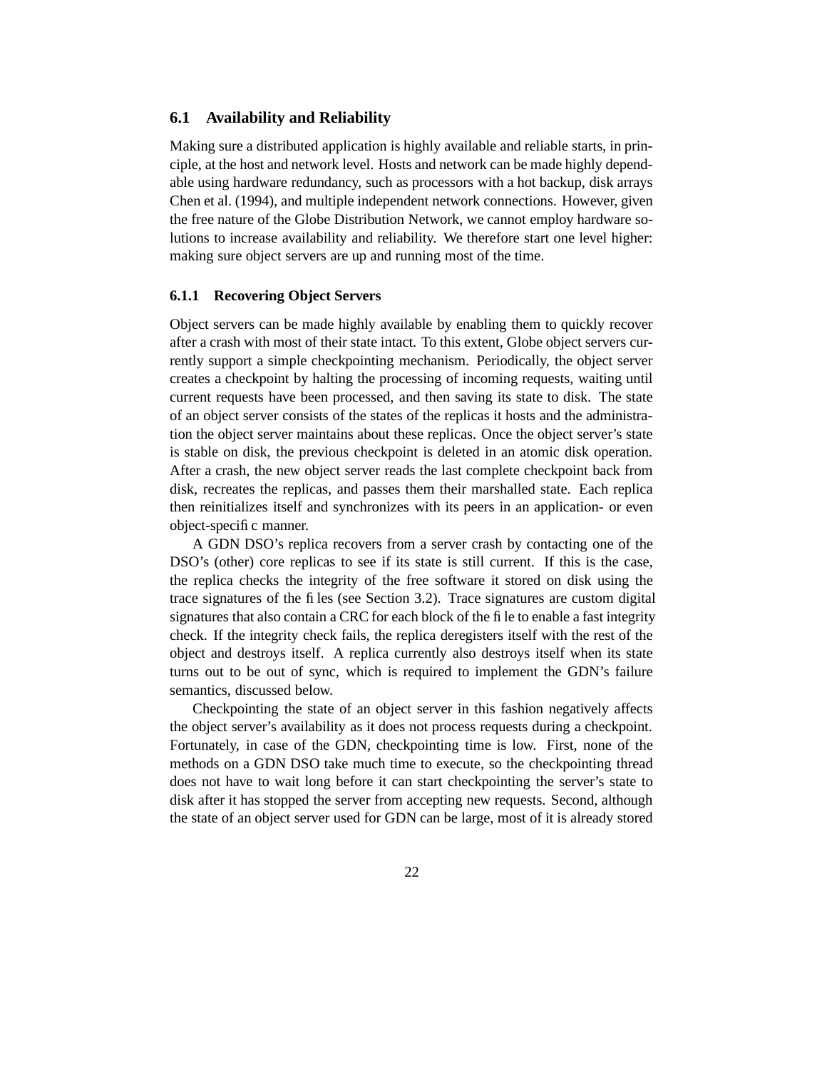#### **6.1 Availability and Reliability**

Making sure a distributed application is highly available and reliable starts, in principle, at the host and network level. Hosts and network can be made highly dependable using hardware redundancy, such as processors with a hot backup, disk arrays Chen et al. (1994), and multiple independent network connections. However, given the free nature of the Globe Distribution Network, we cannot employ hardware solutions to increase availability and reliability. We therefore start one level higher: making sure object servers are up and running most of the time.

#### **6.1.1 Recovering Object Servers**

Object servers can be made highly available by enabling them to quickly recover after a crash with most of their state intact. To this extent, Globe object servers currently support a simple checkpointing mechanism. Periodically, the object server creates a checkpoint by halting the processing of incoming requests, waiting until current requests have been processed, and then saving its state to disk. The state of an object server consists of the states of the replicas it hosts and the administration the object server maintains about these replicas. Once the object server's state is stable on disk, the previous checkpoint is deleted in an atomic disk operation. After a crash, the new object server reads the last complete checkpoint back from disk, recreates the replicas, and passes them their marshalled state. Each replica then reinitializes itself and synchronizes with its peers in an application- or even object-specific manner.

A GDN DSO's replica recovers from a server crash by contacting one of the DSO's (other) core replicas to see if its state is still current. If this is the case, the replica checks the integrity of the free software it stored on disk using the trace signatures of the files (see Section 3.2). Trace signatures are custom digital signatures that also contain a CRC for each block of the file to enable a fast integrity check. If the integrity check fails, the replica deregisters itself with the rest of the object and destroys itself. A replica currently also destroys itself when its state turns out to be out of sync, which is required to implement the GDN's failure semantics, discussed below.

Checkpointing the state of an object server in this fashion negatively affects the object server's availability as it does not process requests during a checkpoint. Fortunately, in case of the GDN, checkpointing time is low. First, none of the methods on a GDN DSO take much time to execute, so the checkpointing thread does not have to wait long before it can start checkpointing the server's state to disk after it has stopped the server from accepting new requests. Second, although the state of an object server used for GDN can be large, most of it is already stored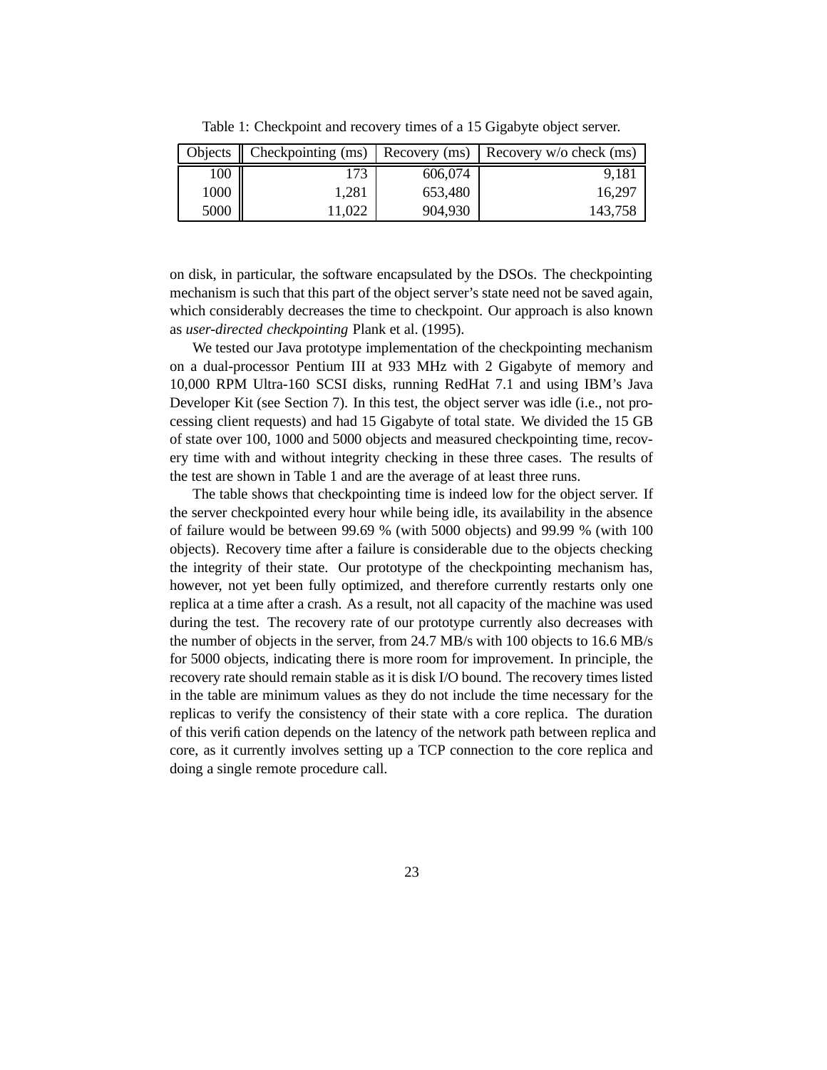| Objects | $\vert$ Checkpointing (ms) $\vert$ | Recovery (ms) | Recovery $w/o$ check (ms) |
|---------|------------------------------------|---------------|---------------------------|
| 100     | 73                                 | 606,074       | 9,181                     |
| 1000    | 1.281                              | 653,480       | 16.297                    |
| 5000    | 1.022                              | 904,930       | 143.758                   |

Table 1: Checkpoint and recovery times of a 15 Gigabyte object server.

on disk, in particular, the software encapsulated by the DSOs. The checkpointing mechanism is such that this part of the object server's state need not be saved again, which considerably decreases the time to checkpoint. Our approach is also known as *user-directed checkpointing* Plank et al. (1995).

We tested our Java prototype implementation of the checkpointing mechanism on a dual-processor Pentium III at 933 MHz with 2 Gigabyte of memory and 10,000 RPM Ultra-160 SCSI disks, running RedHat 7.1 and using IBM's Java Developer Kit (see Section 7). In this test, the object server was idle (i.e., not processing client requests) and had 15 Gigabyte of total state. We divided the 15 GB of state over 100, 1000 and 5000 objects and measured checkpointing time, recovery time with and without integrity checking in these three cases. The results of the test are shown in Table 1 and are the average of at least three runs.

The table shows that checkpointing time is indeed low for the object server. If the server checkpointed every hour while being idle, its availability in the absence of failure would be between 99.69 % (with 5000 objects) and 99.99 % (with 100 objects). Recovery time after a failure is considerable due to the objects checking the integrity of their state. Our prototype of the checkpointing mechanism has, however, not yet been fully optimized, and therefore currently restarts only one replica at a time after a crash. As a result, not all capacity of the machine was used during the test. The recovery rate of our prototype currently also decreases with the number of objects in the server, from 24.7 MB/s with 100 objects to 16.6 MB/s for 5000 objects, indicating there is more room for improvement. In principle, the recovery rate should remain stable as it is disk I/O bound. The recovery times listed in the table are minimum values as they do not include the time necessary for the replicas to verify the consistency of their state with a core replica. The duration of this verification depends on the latency of the network path between replica and core, as it currently involves setting up a TCP connection to the core replica and doing a single remote procedure call.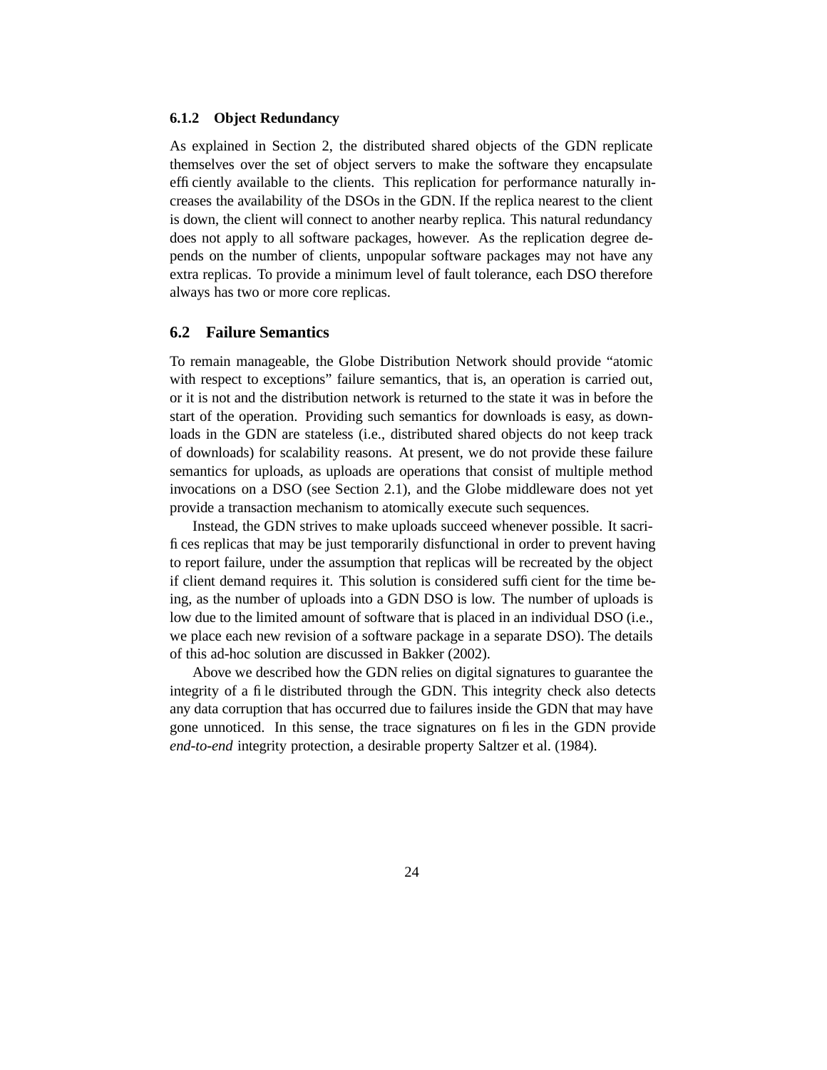#### **6.1.2 Object Redundancy**

As explained in Section 2, the distributed shared objects of the GDN replicate themselves over the set of object servers to make the software they encapsulate efficiently available to the clients. This replication for performance naturally increases the availability of the DSOs in the GDN. If the replica nearest to the client is down, the client will connect to another nearby replica. This natural redundancy does not apply to all software packages, however. As the replication degree depends on the number of clients, unpopular software packages may not have any extra replicas. To provide a minimum level of fault tolerance, each DSO therefore always has two or more core replicas.

#### **6.2 Failure Semantics**

To remain manageable, the Globe Distribution Network should provide "atomic with respect to exceptions" failure semantics, that is, an operation is carried out, or it is not and the distribution network is returned to the state it was in before the start of the operation. Providing such semantics for downloads is easy, as downloads in the GDN are stateless (i.e., distributed shared objects do not keep track of downloads) for scalability reasons. At present, we do not provide these failure semantics for uploads, as uploads are operations that consist of multiple method invocations on a DSO (see Section 2.1), and the Globe middleware does not yet provide a transaction mechanism to atomically execute such sequences.

Instead, the GDN strives to make uploads succeed whenever possible. It sacrifices replicas that may be just temporarily disfunctional in order to prevent having to report failure, under the assumption that replicas will be recreated by the object if client demand requires it. This solution is considered sufficient for the time being, as the number of uploads into a GDN DSO is low. The number of uploads is low due to the limited amount of software that is placed in an individual DSO (i.e., we place each new revision of a software package in a separate DSO). The details of this ad-hoc solution are discussed in Bakker (2002).

Above we described how the GDN relies on digital signatures to guarantee the integrity of a file distributed through the GDN. This integrity check also detects any data corruption that has occurred due to failures inside the GDN that may have gone unnoticed. In this sense, the trace signatures on files in the GDN provide *end-to-end* integrity protection, a desirable property Saltzer et al. (1984).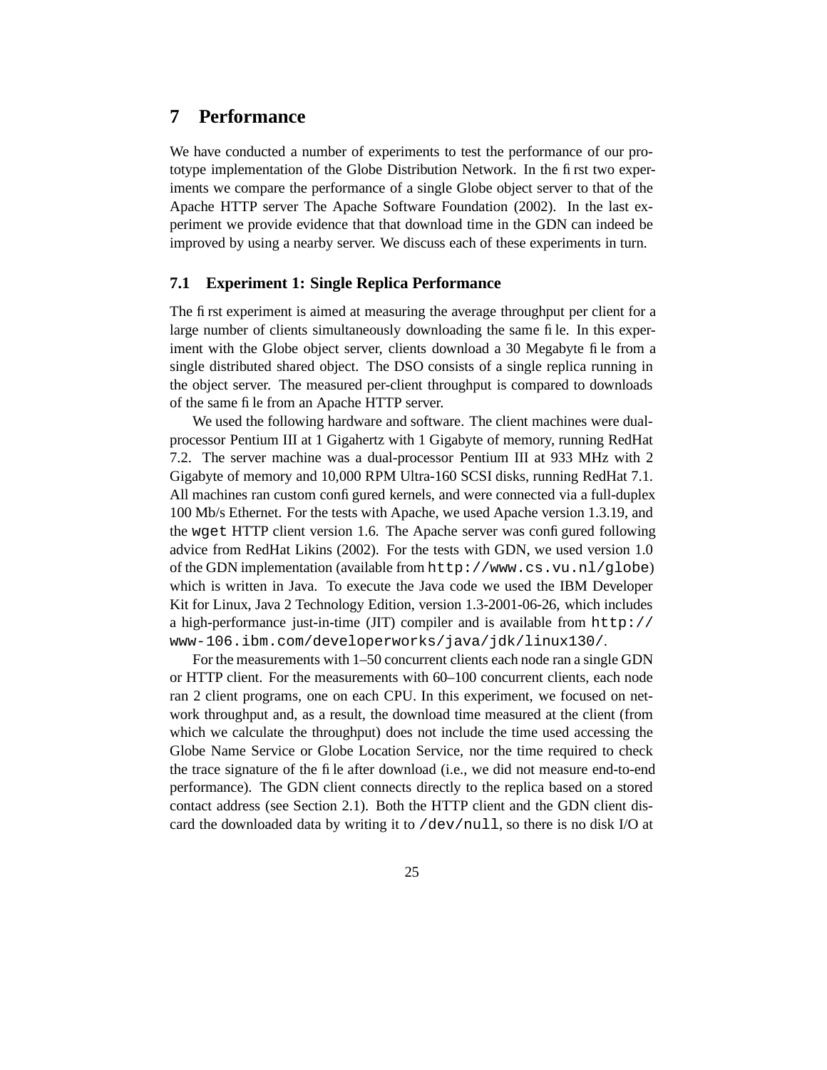### **7 Performance**

We have conducted a number of experiments to test the performance of our prototype implementation of the Globe Distribution Network. In the first two experiments we compare the performance of a single Globe object server to that of the Apache HTTP server The Apache Software Foundation (2002). In the last experiment we provide evidence that that download time in the GDN can indeed be improved by using a nearby server. We discuss each of these experiments in turn.

#### **7.1 Experiment 1: Single Replica Performance**

The first experiment is aimed at measuring the average throughput per client for a large number of clients simultaneously downloading the same file. In this experiment with the Globe object server, clients download a 30 Megabyte file from a single distributed shared object. The DSO consists of a single replica running in the object server. The measured per-client throughput is compared to downloads of the same file from an Apache HTTP server.

We used the following hardware and software. The client machines were dualprocessor Pentium III at 1 Gigahertz with 1 Gigabyte of memory, running RedHat 7.2. The server machine was a dual-processor Pentium III at 933 MHz with 2 Gigabyte of memory and 10,000 RPM Ultra-160 SCSI disks, running RedHat 7.1. All machines ran custom configured kernels, and were connected via a full-duplex 100 Mb/s Ethernet. For the tests with Apache, we used Apache version 1.3.19, and the wget HTTP client version 1.6. The Apache server was configured following advice from RedHat Likins (2002). For the tests with GDN, we used version 1.0 of the GDN implementation (available from http://www.cs.vu.nl/globe) which is written in Java. To execute the Java code we used the IBM Developer Kit for Linux, Java 2 Technology Edition, version 1.3-2001-06-26, which includes a high-performance just-in-time (JIT) compiler and is available from http:// www-106.ibm.com/developerworks/java/jdk/linux130/.

For the measurements with 1–50 concurrent clients each node ran a single GDN or HTTP client. For the measurements with 60–100 concurrent clients, each node ran 2 client programs, one on each CPU. In this experiment, we focused on network throughput and, as a result, the download time measured at the client (from which we calculate the throughput) does not include the time used accessing the Globe Name Service or Globe Location Service, nor the time required to check the trace signature of the file after download (i.e., we did not measure end-to-end performance). The GDN client connects directly to the replica based on a stored contact address (see Section 2.1). Both the HTTP client and the GDN client discard the downloaded data by writing it to /dev/null, so there is no disk I/O at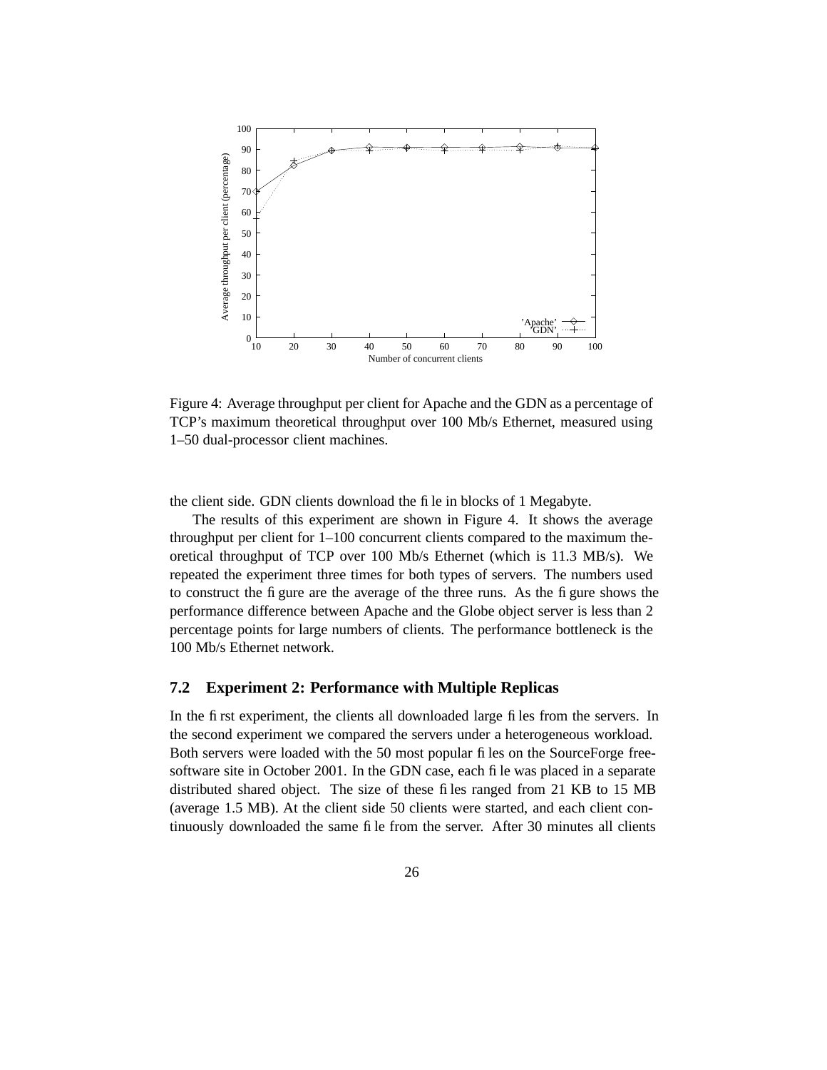

Figure 4: Average throughput per client for Apache and the GDN as a percentage of TCP's maximum theoretical throughput over 100 Mb/s Ethernet, measured using 1–50 dual-processor client machines.

the client side. GDN clients download the file in blocks of 1 Megabyte.

The results of this experiment are shown in Figure 4. It shows the average throughput per client for 1–100 concurrent clients compared to the maximum theoretical throughput of TCP over 100 Mb/s Ethernet (which is 11.3 MB/s). We repeated the experiment three times for both types of servers. The numbers used to construct the figure are the average of the three runs. As the figure shows the performance difference between Apache and the Globe object server is less than 2 percentage points for large numbers of clients. The performance bottleneck is the 100 Mb/s Ethernet network.

#### **7.2 Experiment 2: Performance with Multiple Replicas**

In the first experiment, the clients all downloaded large files from the servers. In the second experiment we compared the servers under a heterogeneous workload. Both servers were loaded with the 50 most popular files on the SourceForge freesoftware site in October 2001. In the GDN case, each file was placed in a separate distributed shared object. The size of these files ranged from 21 KB to 15 MB (average 1.5 MB). At the client side 50 clients were started, and each client continuously downloaded the same file from the server. After 30 minutes all clients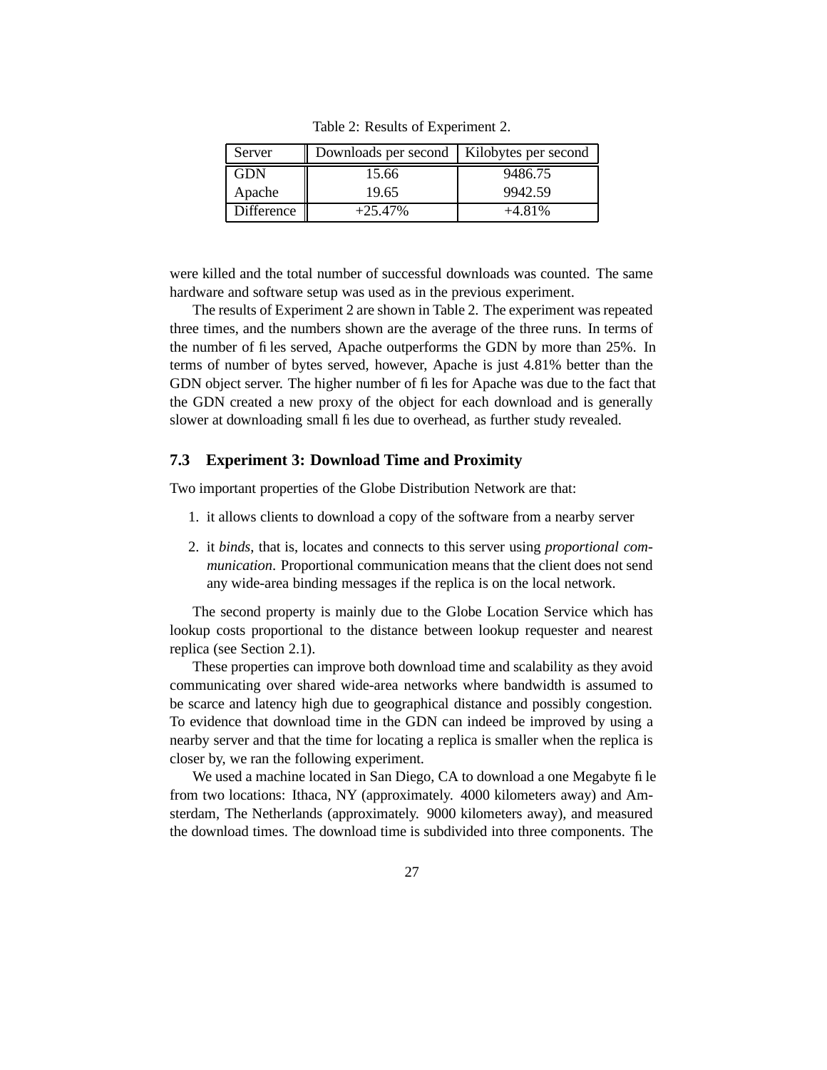| Server     | Downloads per second   Kilobytes per second |          |
|------------|---------------------------------------------|----------|
| GDN        | 15.66                                       | 9486.75  |
| Apache     | 19.65                                       | 9942.59  |
| Difference | $+25.47%$                                   | $+4.81%$ |

Table 2: Results of Experiment 2.

were killed and the total number of successful downloads was counted. The same hardware and software setup was used as in the previous experiment.

The results of Experiment 2 are shown in Table 2. The experiment was repeated three times, and the numbers shown are the average of the three runs. In terms of the number of files served, Apache outperforms the GDN by more than 25%. In terms of number of bytes served, however, Apache is just 4.81% better than the GDN object server. The higher number of files for Apache was due to the fact that the GDN created a new proxy of the object for each download and is generally slower at downloading small files due to overhead, as further study revealed.

### **7.3 Experiment 3: Download Time and Proximity**

Two important properties of the Globe Distribution Network are that:

- 1. it allows clients to download a copy of the software from a nearby server
- 2. it *binds*, that is, locates and connects to this server using *proportional communication*. Proportional communication means that the client does not send any wide-area binding messages if the replica is on the local network.

The second property is mainly due to the Globe Location Service which has lookup costs proportional to the distance between lookup requester and nearest replica (see Section 2.1).

These properties can improve both download time and scalability as they avoid communicating over shared wide-area networks where bandwidth is assumed to be scarce and latency high due to geographical distance and possibly congestion. To evidence that download time in the GDN can indeed be improved by using a nearby server and that the time for locating a replica is smaller when the replica is closer by, we ran the following experiment.

We used a machine located in San Diego, CA to download a one Megabyte file from two locations: Ithaca, NY (approximately. 4000 kilometers away) and Amsterdam, The Netherlands (approximately. 9000 kilometers away), and measured the download times. The download time is subdivided into three components. The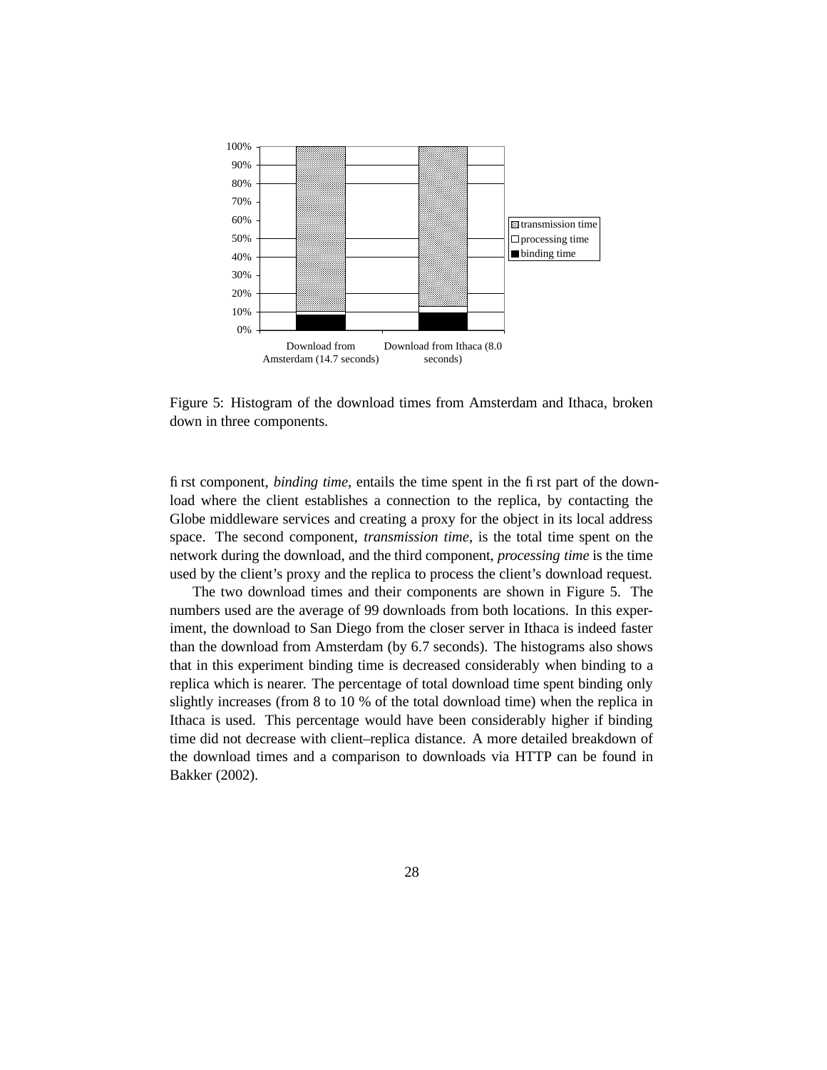

Figure 5: Histogram of the download times from Amsterdam and Ithaca, broken down in three components.

first component, *binding time*, entails the time spent in the first part of the download where the client establishes a connection to the replica, by contacting the Globe middleware services and creating a proxy for the object in its local address space. The second component, *transmission time*, is the total time spent on the network during the download, and the third component, *processing time* is the time used by the client's proxy and the replica to process the client's download request.

The two download times and their components are shown in Figure 5. The numbers used are the average of 99 downloads from both locations. In this experiment, the download to San Diego from the closer server in Ithaca is indeed faster than the download from Amsterdam (by 6.7 seconds). The histograms also shows that in this experiment binding time is decreased considerably when binding to a replica which is nearer. The percentage of total download time spent binding only slightly increases (from 8 to 10 % of the total download time) when the replica in Ithaca is used. This percentage would have been considerably higher if binding time did not decrease with client–replica distance. A more detailed breakdown of the download times and a comparison to downloads via HTTP can be found in Bakker (2002).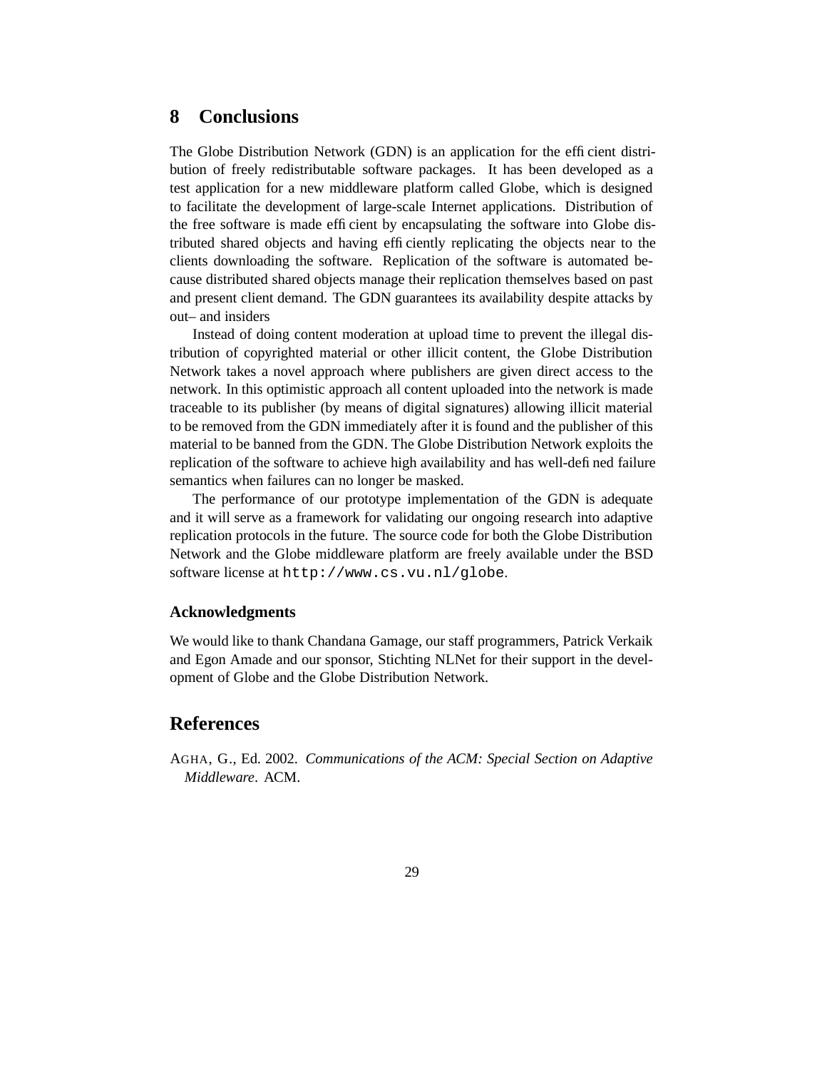### **8 Conclusions**

The Globe Distribution Network (GDN) is an application for the efficient distribution of freely redistributable software packages. It has been developed as a test application for a new middleware platform called Globe, which is designed to facilitate the development of large-scale Internet applications. Distribution of the free software is made efficient by encapsulating the software into Globe distributed shared objects and having efficiently replicating the objects near to the clients downloading the software. Replication of the software is automated because distributed shared objects manage their replication themselves based on past and present client demand. The GDN guarantees its availability despite attacks by out– and insiders

Instead of doing content moderation at upload time to prevent the illegal distribution of copyrighted material or other illicit content, the Globe Distribution Network takes a novel approach where publishers are given direct access to the network. In this optimistic approach all content uploaded into the network is made traceable to its publisher (by means of digital signatures) allowing illicit material to be removed from the GDN immediately after it is found and the publisher of this material to be banned from the GDN. The Globe Distribution Network exploits the replication of the software to achieve high availability and has well-defined failure semantics when failures can no longer be masked.

The performance of our prototype implementation of the GDN is adequate and it will serve as a framework for validating our ongoing research into adaptive replication protocols in the future. The source code for both the Globe Distribution Network and the Globe middleware platform are freely available under the BSD software license at http://www.cs.vu.nl/globe.

### **Acknowledgments**

We would like to thank Chandana Gamage, our staff programmers, Patrick Verkaik and Egon Amade and our sponsor, Stichting NLNet for their support in the development of Globe and the Globe Distribution Network.

### **References**

AGHA, G., Ed. 2002. *Communications of the ACM: Special Section on Adaptive Middleware*. ACM.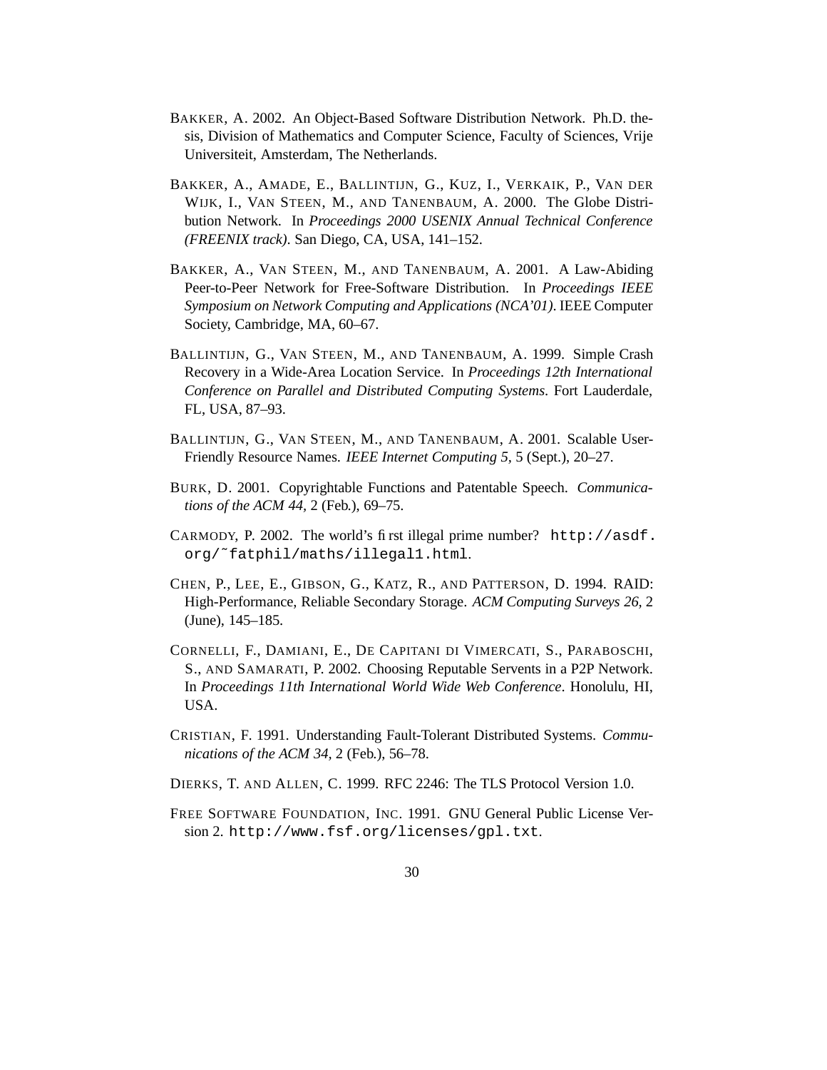- BAKKER, A. 2002. An Object-Based Software Distribution Network. Ph.D. thesis, Division of Mathematics and Computer Science, Faculty of Sciences, Vrije Universiteit, Amsterdam, The Netherlands.
- BAKKER, A., AMADE, E., BALLINTIJN, G., KUZ, I., VERKAIK, P., VAN DER WIJK, I., VAN STEEN, M., AND TANENBAUM, A. 2000. The Globe Distribution Network. In *Proceedings 2000 USENIX Annual Technical Conference (FREENIX track)*. San Diego, CA, USA, 141–152.
- BAKKER, A., VAN STEEN, M., AND TANENBAUM, A. 2001. A Law-Abiding Peer-to-Peer Network for Free-Software Distribution. In *Proceedings IEEE Symposium on Network Computing and Applications (NCA'01)*. IEEE Computer Society, Cambridge, MA, 60–67.
- BALLINTIJN, G., VAN STEEN, M., AND TANENBAUM, A. 1999. Simple Crash Recovery in a Wide-Area Location Service. In *Proceedings 12th International Conference on Parallel and Distributed Computing Systems*. Fort Lauderdale, FL, USA, 87–93.
- BALLINTIJN, G., VAN STEEN, M., AND TANENBAUM, A. 2001. Scalable User-Friendly Resource Names. *IEEE Internet Computing 5,* 5 (Sept.), 20–27.
- BURK, D. 2001. Copyrightable Functions and Patentable Speech. *Communications of the ACM 44,* 2 (Feb.), 69–75.
- CARMODY, P. 2002. The world's first illegal prime number? http://asdf. org/˜fatphil/maths/illegal1.html.
- CHEN, P., LEE, E., GIBSON, G., KATZ, R., AND PATTERSON, D. 1994. RAID: High-Performance, Reliable Secondary Storage. *ACM Computing Surveys 26,* 2 (June), 145–185.
- CORNELLI, F., DAMIANI, E., DE CAPITANI DI VIMERCATI, S., PARABOSCHI, S., AND SAMARATI, P. 2002. Choosing Reputable Servents in a P2P Network. In *Proceedings 11th International World Wide Web Conference*. Honolulu, HI, USA.
- CRISTIAN, F. 1991. Understanding Fault-Tolerant Distributed Systems. *Communications of the ACM 34,* 2 (Feb.), 56–78.
- DIERKS, T. AND ALLEN, C. 1999. RFC 2246: The TLS Protocol Version 1.0.
- FREE SOFTWARE FOUNDATION, INC. 1991. GNU General Public License Version 2. http://www.fsf.org/licenses/gpl.txt.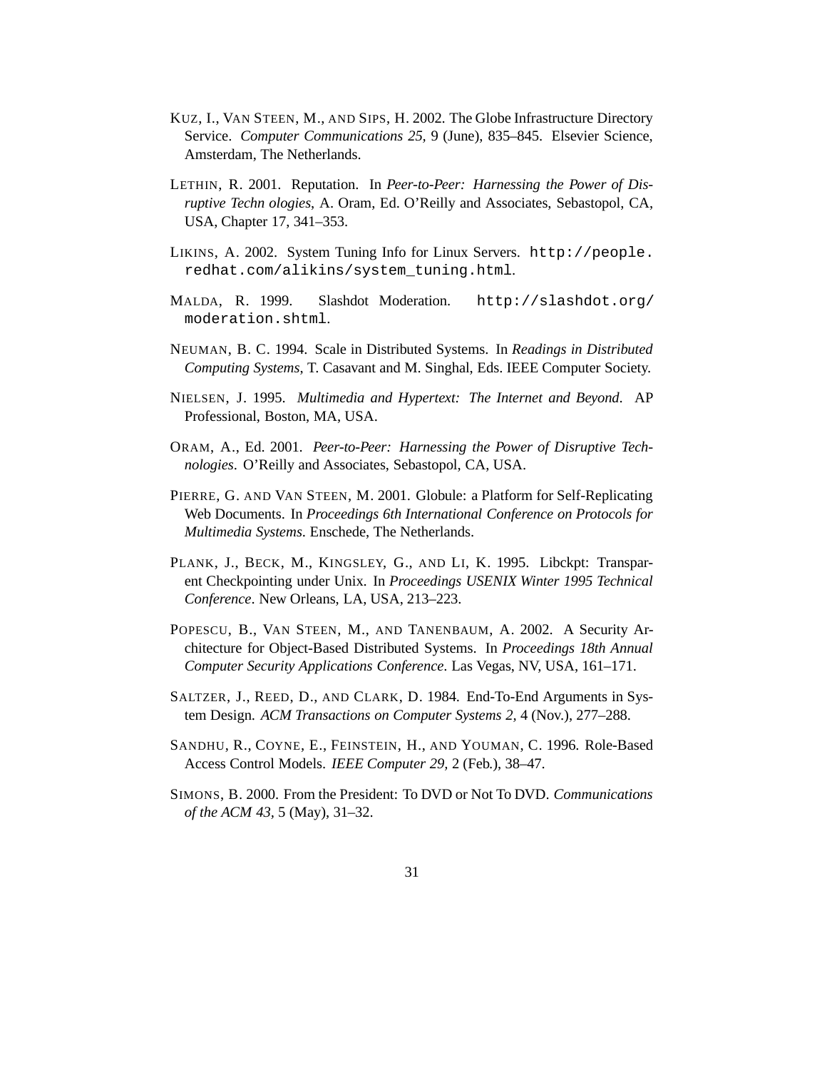- KUZ, I., VAN STEEN, M., AND SIPS, H. 2002. The Globe Infrastructure Directory Service. *Computer Communications 25,* 9 (June), 835–845. Elsevier Science, Amsterdam, The Netherlands.
- LETHIN, R. 2001. Reputation. In *Peer-to-Peer: Harnessing the Power of Disruptive Techn ologies*, A. Oram, Ed. O'Reilly and Associates, Sebastopol, CA, USA, Chapter 17, 341–353.
- LIKINS, A. 2002. System Tuning Info for Linux Servers. http://people. redhat.com/alikins/system\_tuning.html.
- MALDA, R. 1999. Slashdot Moderation. http://slashdot.org/ moderation.shtml.
- NEUMAN, B. C. 1994. Scale in Distributed Systems. In *Readings in Distributed Computing Systems*, T. Casavant and M. Singhal, Eds. IEEE Computer Society.
- NIELSEN, J. 1995. *Multimedia and Hypertext: The Internet and Beyond*. AP Professional, Boston, MA, USA.
- ORAM, A., Ed. 2001. *Peer-to-Peer: Harnessing the Power of Disruptive Technologies*. O'Reilly and Associates, Sebastopol, CA, USA.
- PIERRE, G. AND VAN STEEN, M. 2001. Globule: a Platform for Self-Replicating Web Documents. In *Proceedings 6th International Conference on Protocols for Multimedia Systems*. Enschede, The Netherlands.
- PLANK, J., BECK, M., KINGSLEY, G., AND LI, K. 1995. Libckpt: Transparent Checkpointing under Unix. In *Proceedings USENIX Winter 1995 Technical Conference*. New Orleans, LA, USA, 213–223.
- POPESCU, B., VAN STEEN, M., AND TANENBAUM, A. 2002. A Security Architecture for Object-Based Distributed Systems. In *Proceedings 18th Annual Computer Security Applications Conference*. Las Vegas, NV, USA, 161–171.
- SALTZER, J., REED, D., AND CLARK, D. 1984. End-To-End Arguments in System Design. *ACM Transactions on Computer Systems 2,* 4 (Nov.), 277–288.
- SANDHU, R., COYNE, E., FEINSTEIN, H., AND YOUMAN, C. 1996. Role-Based Access Control Models. *IEEE Computer 29,* 2 (Feb.), 38–47.
- SIMONS, B. 2000. From the President: To DVD or Not To DVD. *Communications of the ACM 43,* 5 (May), 31–32.